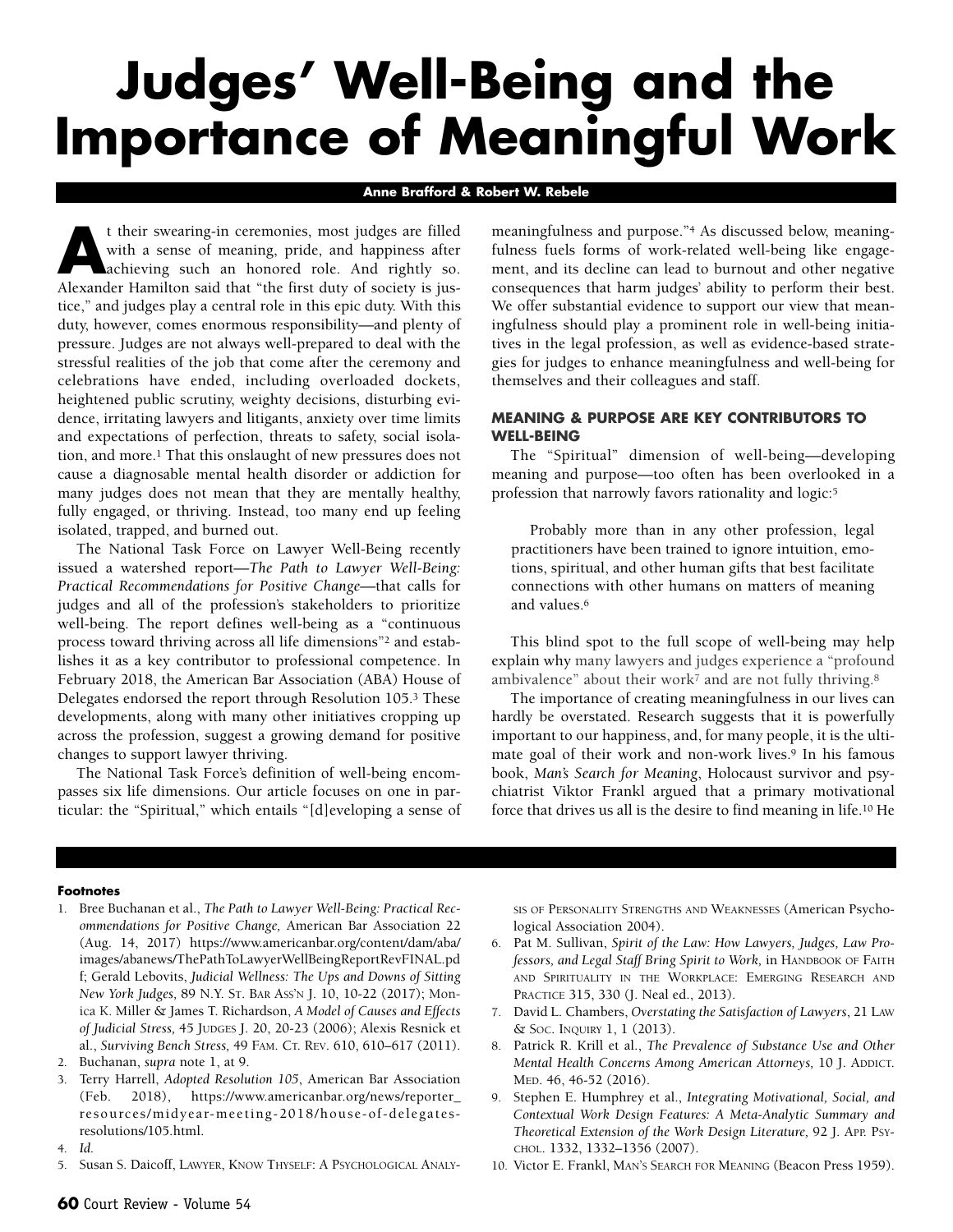# **Judges' Well-Being and the Importance of Meaningful Work**

#### **Anne Brafford & Robert W. Rebele**

It their swearing-in ceremonies, most judges are filled<br>with a sense of meaning, pride, and happiness after<br>achieving such an honored role. And rightly so.<br>Alexander Hamilton said that "the first duty of society is just with a sense of meaning, pride, and happiness after Alexander Hamilton said that "the first duty of society is justice," and judges play a central role in this epic duty. With this duty, however, comes enormous responsibility—and plenty of pressure. Judges are not always well-prepared to deal with the stressful realities of the job that come after the ceremony and celebrations have ended, including overloaded dockets, heightened public scrutiny, weighty decisions, disturbing evidence, irritating lawyers and litigants, anxiety over time limits and expectations of perfection, threats to safety, social isolation, and more.1 That this onslaught of new pressures does not cause a diagnosable mental health disorder or addiction for many judges does not mean that they are mentally healthy, fully engaged, or thriving. Instead, too many end up feeling isolated, trapped, and burned out.

The National Task Force on Lawyer Well-Being recently issued a watershed report—*The Path to Lawyer Well-Being: Practical Recommendations for Positive Change—*that calls for judges and all of the profession's stakeholders to prioritize well-being. The report defines well-being as a "continuous process toward thriving across all life dimensions"2 and establishes it as a key contributor to professional competence. In February 2018, the American Bar Association (ABA) House of Delegates endorsed the report through Resolution 105.3 These developments, along with many other initiatives cropping up across the profession, suggest a growing demand for positive changes to support lawyer thriving.

The National Task Force's definition of well-being encompasses six life dimensions. Our article focuses on one in particular: the "Spiritual," which entails "[d]eveloping a sense of meaningfulness and purpose."4 As discussed below, meaningfulness fuels forms of work-related well-being like engagement, and its decline can lead to burnout and other negative consequences that harm judges' ability to perform their best. We offer substantial evidence to support our view that meaningfulness should play a prominent role in well-being initiatives in the legal profession, as well as evidence-based strategies for judges to enhance meaningfulness and well-being for themselves and their colleagues and staff.

## **MEANING & PURPOSE ARE KEY CONTRIBUTORS TO WELL-BEING**

The "Spiritual" dimension of well-being—developing meaning and purpose—too often has been overlooked in a profession that narrowly favors rationality and logic:5

Probably more than in any other profession, legal practitioners have been trained to ignore intuition, emotions, spiritual, and other human gifts that best facilitate connections with other humans on matters of meaning and values.6

This blind spot to the full scope of well-being may help explain why many lawyers and judges experience a "profound ambivalence" about their work<sup>7</sup> and are not fully thriving.<sup>8</sup>

The importance of creating meaningfulness in our lives can hardly be overstated. Research suggests that it is powerfully important to our happiness, and, for many people, it is the ultimate goal of their work and non-work lives.<sup>9</sup> In his famous book, *Man's Search for Meaning*, Holocaust survivor and psychiatrist Viktor Frankl argued that a primary motivational force that drives us all is the desire to find meaning in life.10 He

#### **Footnotes**

1. Bree Buchanan et al., *The Path to Lawyer Well-Being: Practical Recommendations for Positive Change,* American Bar Association 22 (Aug. 14, 2017) [https://www.americanbar.org/content/dam/aba/](https://www.americanbar.org/content/dam/aba/images/abanews/ThePathToLawyerWellBeingReportRevFINAL.pdf) [images/abanews/ThePathToLawyerWellBeingReportRevFINAL.pd](https://www.americanbar.org/content/dam/aba/images/abanews/ThePathToLawyerWellBeingReportRevFINAL.pdf) [f;](https://www.americanbar.org/content/dam/aba/images/abanews/ThePathToLawyerWellBeingReportRevFINAL.pdf) Gerald Lebovits, *Judicial Wellness: The Ups and Downs of Sitting New York Judges,* 89 N.Y. ST. BAR ASS'N J. 10, 10-22 (2017); Monica K. Miller & James T. Richardson, *A Model of Causes and Effects of Judicial Stress,* 45 JUDGES J. 20, 20-23 (2006); Alexis Resnick et al., *Surviving Bench Stress,* 49 FAM. CT. REV. 610, 610–617 (2011).

- 3. Terry Harrell, *Adopted Resolution 105*, American Bar Association (Feb. 2018), [https://www.americanbar.org/news/reporter\\_](https://www.americanbar.org/news/reporter_resources/midyear-meeting-2018/house-of-delegates-resolutions/105.html) [resources/midyear-meeting-2018/house-of-delegates](https://www.americanbar.org/news/reporter_resources/midyear-meeting-2018/house-of-delegates-resolutions/105.html)[resolutions/105.html.](https://www.americanbar.org/news/reporter_resources/midyear-meeting-2018/house-of-delegates-resolutions/105.html)
- 4. *Id.*
- 5. Susan S. Daicoff, LAWYER, KNOW THYSELF: A PSYCHOLOGICAL ANALY-

SIS OF PERSONALITY STRENGTHS AND WEAKNESSES (American Psychological Association 2004).

- 6. Pat M. Sullivan, *Spirit of the Law: How Lawyers, Judges, Law Professors, and Legal Staff Bring Spirit to Work,* in HANDBOOK OF FAITH AND SPIRITUALITY IN THE WORKPLACE: EMERGING RESEARCH AND PRACTICE 315, 330 (J. Neal ed., 2013).
- 7. David L. Chambers, *Overstating the Satisfaction of Lawyers*, 21 LAW & SOC. INQUIRY 1, 1 (2013).
- 8. Patrick R. Krill et al., *The Prevalence of Substance Use and Other Mental Health Concerns Among American Attorneys,* 10 J. ADDICT. MED. 46, 46-52 (2016).
- 9. Stephen E. Humphrey et al., *Integrating Motivational, Social, and Contextual Work Design Features: A Meta-Analytic Summary and Theoretical Extension of the Work Design Literature,* 92 J. APP. PSY-CHOL. 1332, 1332–1356 (2007).
- 10. Victor E. Frankl, MAN'S SEARCH FOR MEANING (Beacon Press 1959).

<sup>2.</sup> Buchanan, *supra* note 1, at 9.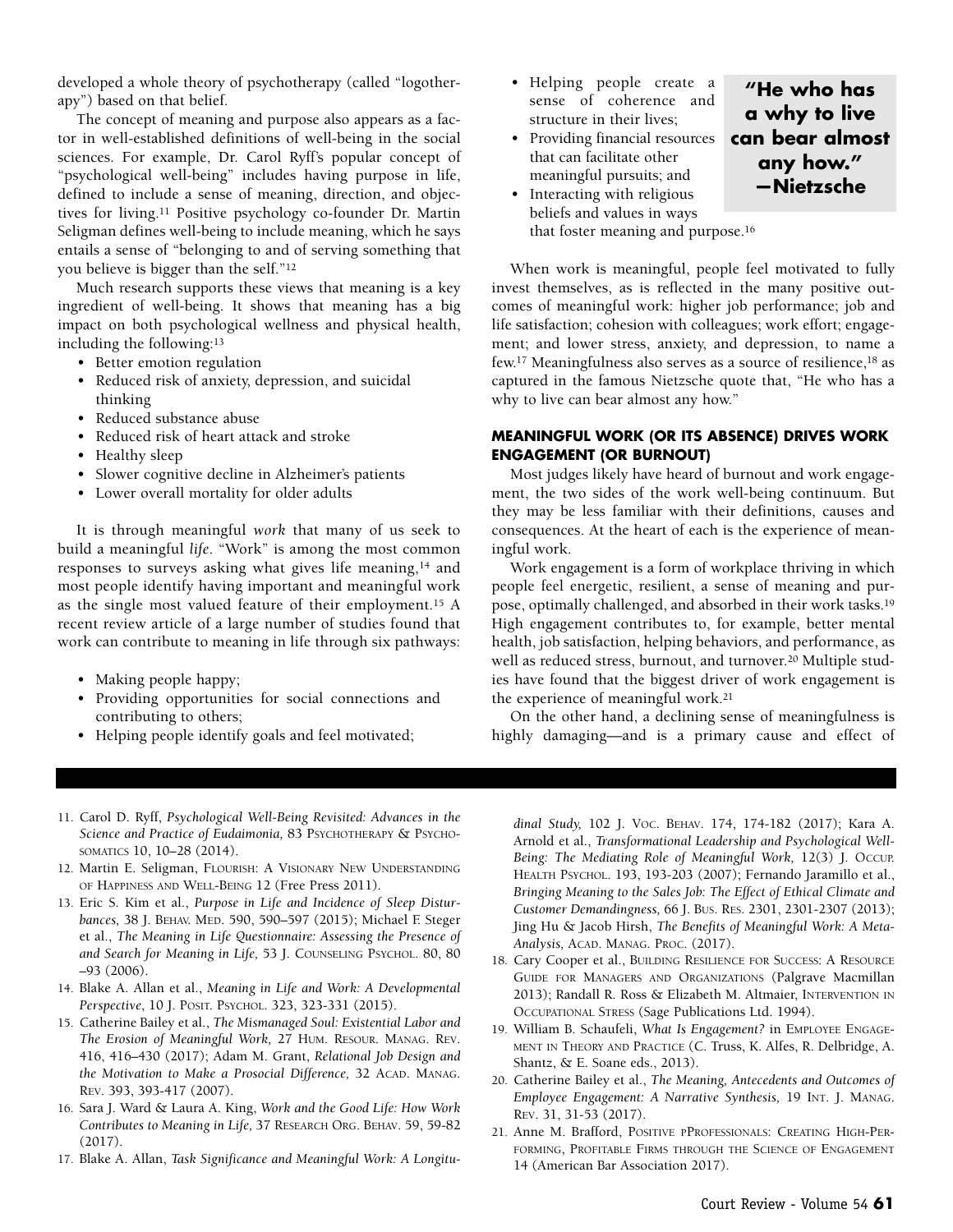developed a whole theory of psychotherapy (called "logotherapy") based on that belief.

The concept of meaning and purpose also appears as a factor in well-established definitions of well-being in the social sciences. For example, Dr. Carol Ryff's popular concept of "psychological well-being" includes having purpose in life, defined to include a sense of meaning, direction, and objectives for living.11 Positive psychology co-founder Dr. Martin Seligman defines well-being to include meaning, which he says entails a sense of "belonging to and of serving something that you believe is bigger than the self."12

Much research supports these views that meaning is a key ingredient of well-being. It shows that meaning has a big impact on both psychological wellness and physical health, including the following:13

- Better emotion regulation
- Reduced risk of anxiety, depression, and suicidal thinking
- Reduced substance abuse
- Reduced risk of heart attack and stroke
- Healthy sleep
- Slower cognitive decline in Alzheimer's patients
- Lower overall mortality for older adults

It is through meaningful *work* that many of us seek to build a meaningful *life*. "Work" is among the most common responses to surveys asking what gives life meaning,<sup>14</sup> and most people identify having important and meaningful work as the single most valued feature of their employment.15 A recent review article of a large number of studies found that work can contribute to meaning in life through six pathways:

- Making people happy;
- Providing opportunities for social connections and contributing to others;
- Helping people identify goals and feel motivated;
- Helping people create a sense of coherence and structure in their lives;
- Providing financial resources that can facilitate other meaningful pursuits; and
- Interacting with religious beliefs and values in ways

that foster meaning and purpose.16

When work is meaningful, people feel motivated to fully invest themselves, as is reflected in the many positive outcomes of meaningful work: higher job performance; job and life satisfaction; cohesion with colleagues; work effort; engagement; and lower stress, anxiety, and depression, to name a few.17 Meaningfulness also serves as a source of resilience,18 as captured in the famous Nietzsche quote that, "He who has a why to live can bear almost any how."

**"He who has a why to live can bear almost any how." —Nietzsche**

## **MEANINGFUL WORK (OR ITS ABSENCE) DRIVES WORK ENGAGEMENT (OR BURNOUT)**

Most judges likely have heard of burnout and work engagement, the two sides of the work well-being continuum. But they may be less familiar with their definitions, causes and consequences. At the heart of each is the experience of meaningful work.

Work engagement is a form of workplace thriving in which people feel energetic, resilient, a sense of meaning and purpose, optimally challenged, and absorbed in their work tasks.19 High engagement contributes to, for example, better mental health, job satisfaction, helping behaviors, and performance, as well as reduced stress, burnout, and turnover.20 Multiple studies have found that the biggest driver of work engagement is the experience of meaningful work.21

On the other hand, a declining sense of meaningfulness is highly damaging—and is a primary cause and effect of

- 11. Carol D. Ryff, *Psychological Well-Being Revisited: Advances in the Science and Practice of Eudaimonia,* 83 PSYCHOTHERAPY & PSYCHO-SOMATICS 10, 10–28 (2014).
- 12. Martin E. Seligman, FLOURISH: A VISIONARY NEW UNDERSTANDING OF HAPPINESS AND WELL-BEING 12 (Free Press 2011).
- 13. Eric S. Kim et al., *Purpose in Life and Incidence of Sleep Disturbances,* 38 J. BEHAV. MED. 590, 590–597 (2015); Michael F. Steger et al., *The Meaning in Life Questionnaire: Assessing the Presence of and Search for Meaning in Life,* 53 J. COUNSELING PSYCHOL. 80, 80 –93 (2006).
- 14. Blake A. Allan et al., *Meaning in Life and Work: A Developmental Perspective*, 10 J. POSIT. PSYCHOL. 323, 323-331 (2015).
- 15. Catherine Bailey et al., *The Mismanaged Soul: Existential Labor and The Erosion of Meaningful Work,* 27 HUM. RESOUR. MANAG. REV. 416, 416–430 (2017); Adam M. Grant, *Relational Job Design and the Motivation to Make a Prosocial Difference,* 32 ACAD. MANAG. REV. 393, 393-417 (2007).
- 16. Sara J. Ward & Laura A. King, *Work and the Good Life: How Work Contributes to Meaning in Life,* 37 RESEARCH ORG. BEHAV. 59, 59-82 (2017).
- 17. Blake A. Allan, *Task Significance and Meaningful Work: A Longitu-*

*dinal Study,* 102 J. VOC. BEHAV. 174, 174-182 (2017); Kara A. Arnold et al., *Transformational Leadership and Psychological Well-Being: The Mediating Role of Meaningful Work,* 12(3) J. OCCUP. HEALTH PSYCHOL. 193, 193-203 (2007); Fernando Jaramillo et al., *Bringing Meaning to the Sales Job: The Effect of Ethical Climate and Customer Demandingness,* 66 J. BUS. RES. 2301, 2301-2307 (2013); Jing Hu & Jacob Hirsh, *The Benefits of Meaningful Work: A Meta-Analysis,* ACAD. MANAG. PROC. (2017).

- 18. Cary Cooper et al., BUILDING RESILIENCE FOR SUCCESS: A RESOURCE GUIDE FOR MANAGERS AND ORGANIZATIONS (Palgrave Macmillan 2013); Randall R. Ross & Elizabeth M. Altmaier, INTERVENTION IN OCCUPATIONAL STRESS (Sage Publications Ltd. 1994).
- 19. William B. Schaufeli, *What Is Engagement?* in EMPLOYEE ENGAGE-MENT IN THEORY AND PRACTICE (C. Truss, K. Alfes, R. Delbridge, A. Shantz, & E. Soane eds., 2013).
- 20. Catherine Bailey et al., *The Meaning, Antecedents and Outcomes of Employee Engagement: A Narrative Synthesis,* 19 INT. J. MANAG. REV. 31, 31-53 (2017).
- 21. Anne M. Brafford, POSITIVE PPROFESSIONALS: CREATING HIGH-PER-FORMING, PROFITABLE FIRMS THROUGH THE SCIENCE OF ENGAGEMENT 14 (American Bar Association 2017).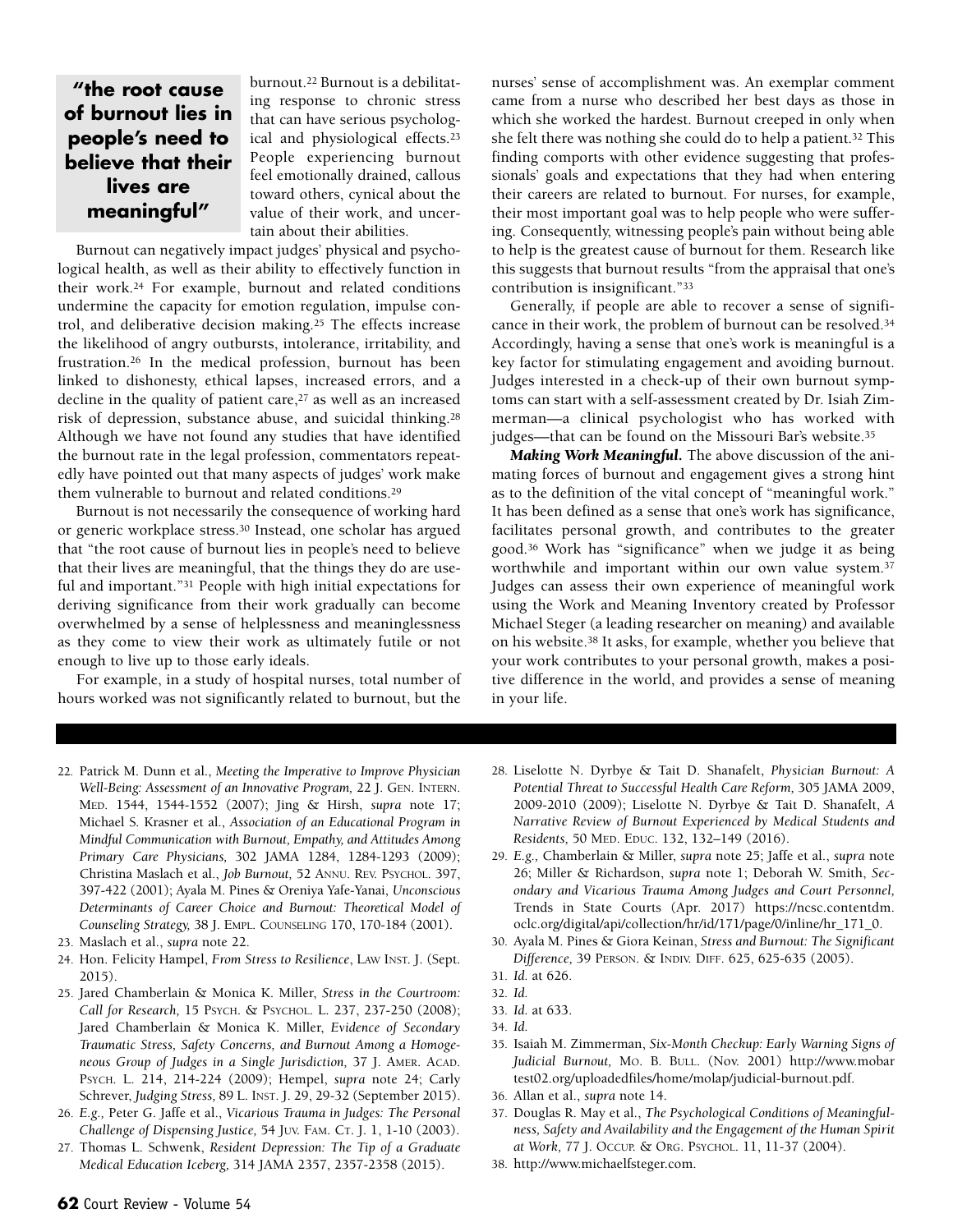## **"the root cause of burnout lies in people's need to believe that their lives are meaningful"**

burnout.22 Burnout is a debilitating response to chronic stress that can have serious psychological and physiological effects.23 People experiencing burnout feel emotionally drained, callous toward others, cynical about the value of their work, and uncertain about their abilities.

Burnout can negatively impact judges' physical and psychological health, as well as their ability to effectively function in their work.24 For example, burnout and related conditions undermine the capacity for emotion regulation, impulse control, and deliberative decision making.25 The effects increase the likelihood of angry outbursts, intolerance, irritability, and frustration.26 In the medical profession, burnout has been linked to dishonesty, ethical lapses, increased errors, and a decline in the quality of patient care,<sup>27</sup> as well as an increased risk of depression, substance abuse, and suicidal thinking.28 Although we have not found any studies that have identified the burnout rate in the legal profession, commentators repeatedly have pointed out that many aspects of judges' work make them vulnerable to burnout and related conditions.29

Burnout is not necessarily the consequence of working hard or generic workplace stress.30 Instead, one scholar has argued that "the root cause of burnout lies in people's need to believe that their lives are meaningful, that the things they do are useful and important."31 People with high initial expectations for deriving significance from their work gradually can become overwhelmed by a sense of helplessness and meaninglessness as they come to view their work as ultimately futile or not enough to live up to those early ideals.

For example, in a study of hospital nurses, total number of hours worked was not significantly related to burnout, but the nurses' sense of accomplishment was. An exemplar comment came from a nurse who described her best days as those in which she worked the hardest. Burnout creeped in only when she felt there was nothing she could do to help a patient.32 This finding comports with other evidence suggesting that professionals' goals and expectations that they had when entering their careers are related to burnout. For nurses, for example, their most important goal was to help people who were suffering. Consequently, witnessing people's pain without being able to help is the greatest cause of burnout for them. Research like this suggests that burnout results "from the appraisal that one's contribution is insignificant."33

Generally, if people are able to recover a sense of significance in their work, the problem of burnout can be resolved.34 Accordingly, having a sense that one's work is meaningful is a key factor for stimulating engagement and avoiding burnout. Judges interested in a check-up of their own burnout symptoms can start with a self-assessment created by Dr. Isiah Zimmerman—a clinical psychologist who has worked with judges—that can be found on the Missouri Bar's website.<sup>35</sup>

*Making Work Meaningful.* The above discussion of the animating forces of burnout and engagement gives a strong hint as to the definition of the vital concept of "meaningful work." It has been defined as a sense that one's work has significance, facilitates personal growth, and contributes to the greater good.36 Work has "significance" when we judge it as being worthwhile and important within our own value system.37 Judges can assess their own experience of meaningful work using the Work and Meaning Inventory created by Professor Michael Steger (a leading researcher on meaning) and available on his website.38 It asks, for example, whether you believe that your work contributes to your personal growth, makes a positive difference in the world, and provides a sense of meaning in your life.

- 22. Patrick M. Dunn et al., *Meeting the Imperative to Improve Physician Well-Being: Assessment of an Innovative Program,* 22 J. GEN. INTERN. MED. 1544, 1544-1552 (2007); Jing & Hirsh, *supra* note 17; Michael S. Krasner et al., *Association of an Educational Program in Mindful Communication with Burnout, Empathy, and Attitudes Among Primary Care Physicians,* 302 JAMA 1284, 1284-1293 (2009); Christina Maslach et al., *Job Burnout,* 52 ANNU. REV. PSYCHOL. 397, 397-422 (2001); Ayala M. Pines & Oreniya Yafe-Yanai, *Unconscious Determinants of Career Choice and Burnout: Theoretical Model of Counseling Strategy,* 38 J. EMPL. COUNSELING 170, 170-184 (2001).
- 23. Maslach et al., *supra* note 22.
- 24. Hon. Felicity Hampel, *From Stress to Resilience*, LAW INST. J. (Sept. 2015).
- 25. Jared Chamberlain & Monica K. Miller, *Stress in the Courtroom: Call for Research,* 15 PSYCH. & PSYCHOL. L. 237, 237-250 (2008); Jared Chamberlain & Monica K. Miller, *Evidence of Secondary Traumatic Stress, Safety Concerns, and Burnout Among a Homogeneous Group of Judges in a Single Jurisdiction,* 37 J. AMER. ACAD. PSYCH. L. 214, 214-224 (2009); Hempel, *supra* note 24; Carly Schrever, *Judging Stress,* 89 L. INST. J. 29, 29-32 (September 2015).
- 26. *E.g.,* Peter G. Jaffe et al., *Vicarious Trauma in Judges: The Personal Challenge of Dispensing Justice,* 54 JUV. FAM. CT. J. 1, 1-10 (2003).
- 27. Thomas L. Schwenk, *Resident Depression: The Tip of a Graduate Medical Education Iceberg,* 314 JAMA 2357, 2357-2358 (2015).
- 28. Liselotte N. Dyrbye & Tait D. Shanafelt, *Physician Burnout: A Potential Threat to Successful Health Care Reform,* 305 JAMA 2009, 2009-2010 (2009); Liselotte N. Dyrbye & Tait D. Shanafelt, *A Narrative Review of Burnout Experienced by Medical Students and Residents,* 50 MED. EDUC. 132, 132–149 (2016).
- 29. *E.g.,* Chamberlain & Miller, *supra* note 25; Jaffe et al., *supra* note 26; Miller & Richardson, *supra* note 1; Deborah W. Smith, *Secondary and Vicarious Trauma Among Judges and Court Personnel,* Trends in State Courts (Apr. 2017) [https://ncsc.contentdm.](https://ncsc.contentdm.oclc.org/digital/api/collection/hr/id/171/page/0/inline/hr_171_0) [oclc.org/digital/api/collection/hr/id/171/page/0/inline/hr\\_171\\_0.](https://ncsc.contentdm.oclc.org/digital/api/collection/hr/id/171/page/0/inline/hr_171_0)
- 30. Ayala M. Pines & Giora Keinan, *Stress and Burnout: The Significant Difference,* 39 PERSON. & INDIV. DIFF. 625, 625-635 (2005).
- 31. *Id.* at 626.
- 32. *Id.*
- 33. *Id.* at 633.
- 34. *Id.*
- 35. Isaiah M. Zimmerman, *Six-Month Checkup: Early Warning Signs of Judicial Burnout,* MO. B. BULL. (Nov. 2001) [http://www.mobar](http://www.mobartest02.org/uploadedfiles/home/molap/judicial-burnout.pdf) [test02.org/uploadedfiles/home/molap/judicial-burnout.pdf.](http://www.mobartest02.org/uploadedfiles/home/molap/judicial-burnout.pdf)
- 36. Allan et al., *supra* note 14.
- 37. Douglas R. May et al., *The Psychological Conditions of Meaningfulness, Safety and Availability and the Engagement of the Human Spirit at Work,* 77 J. OCCUP. & ORG. PSYCHOL. 11, 11-37 (2004).
- 38. http://www.michaelfsteger.com.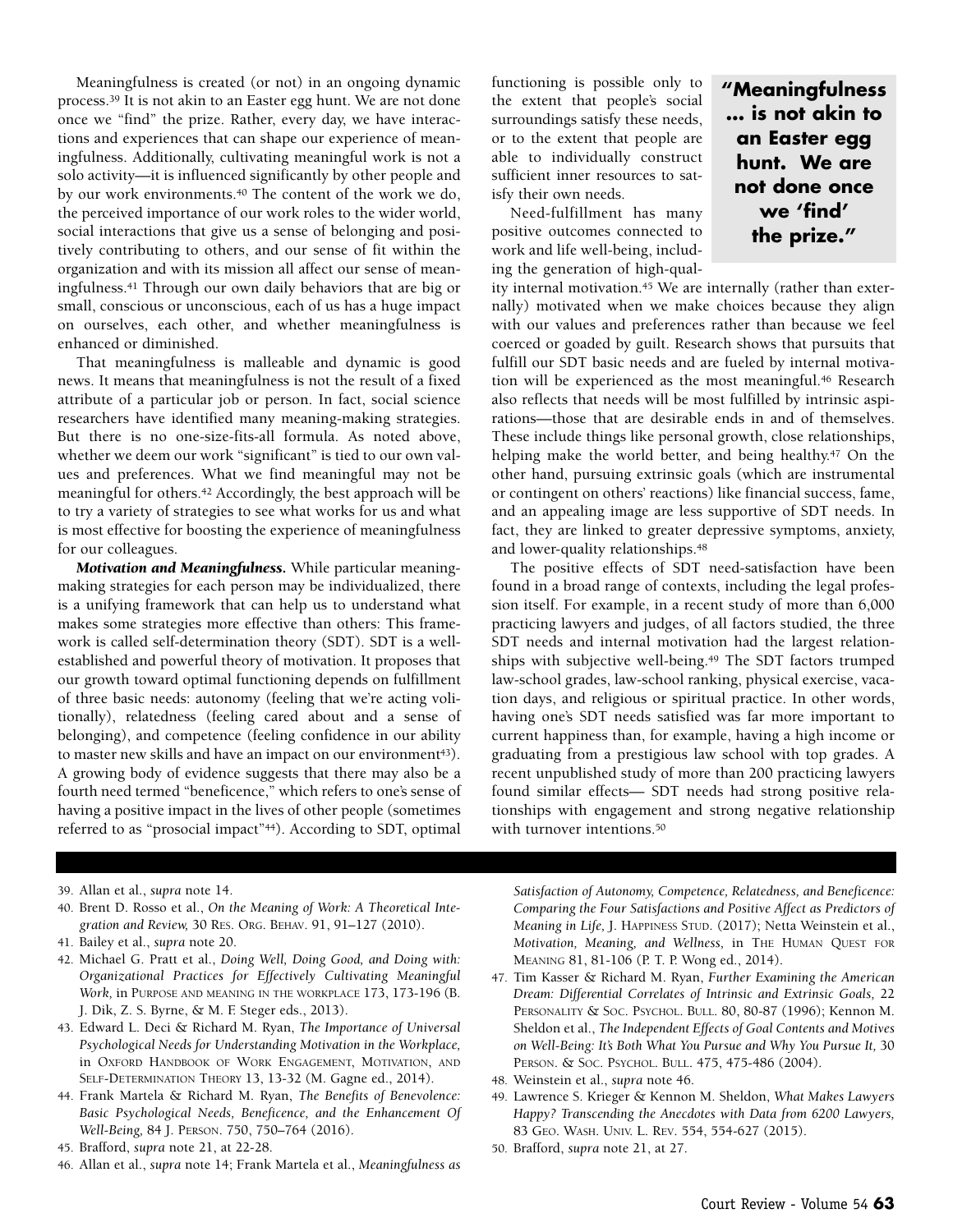Meaningfulness is created (or not) in an ongoing dynamic process.39 It is not akin to an Easter egg hunt. We are not done once we "find" the prize. Rather, every day, we have interactions and experiences that can shape our experience of meaningfulness. Additionally, cultivating meaningful work is not a solo activity—it is influenced significantly by other people and by our work environments.40 The content of the work we do, the perceived importance of our work roles to the wider world, social interactions that give us a sense of belonging and positively contributing to others, and our sense of fit within the organization and with its mission all affect our sense of meaningfulness.41 Through our own daily behaviors that are big or small, conscious or unconscious, each of us has a huge impact on ourselves, each other, and whether meaningfulness is enhanced or diminished.

That meaningfulness is malleable and dynamic is good news. It means that meaningfulness is not the result of a fixed attribute of a particular job or person. In fact, social science researchers have identified many meaning-making strategies. But there is no one-size-fits-all formula. As noted above, whether we deem our work "significant" is tied to our own values and preferences. What we find meaningful may not be meaningful for others.42 Accordingly, the best approach will be to try a variety of strategies to see what works for us and what is most effective for boosting the experience of meaningfulness for our colleagues.

*Motivation and Meaningfulness.* While particular meaningmaking strategies for each person may be individualized, there is a unifying framework that can help us to understand what makes some strategies more effective than others: This framework is called self-determination theory (SDT). SDT is a wellestablished and powerful theory of motivation. It proposes that our growth toward optimal functioning depends on fulfillment of three basic needs: autonomy (feeling that we're acting volitionally), relatedness (feeling cared about and a sense of belonging), and competence (feeling confidence in our ability to master new skills and have an impact on our environment<sup>43</sup>). A growing body of evidence suggests that there may also be a fourth need termed "beneficence," which refers to one's sense of having a positive impact in the lives of other people (sometimes referred to as "prosocial impact"44). According to SDT, optimal functioning is possible only to the extent that people's social surroundings satisfy these needs, or to the extent that people are able to individually construct sufficient inner resources to satisfy their own needs.

Need-fulfillment has many positive outcomes connected to work and life well-being, including the generation of high-qual-

ity internal motivation.<sup>45</sup> We are internally (rather than externally) motivated when we make choices because they align with our values and preferences rather than because we feel coerced or goaded by guilt. Research shows that pursuits that fulfill our SDT basic needs and are fueled by internal motivation will be experienced as the most meaningful.46 Research also reflects that needs will be most fulfilled by intrinsic aspirations—those that are desirable ends in and of themselves. These include things like personal growth, close relationships, helping make the world better, and being healthy.<sup>47</sup> On the other hand, pursuing extrinsic goals (which are instrumental or contingent on others' reactions) like financial success, fame, and an appealing image are less supportive of SDT needs. In fact, they are linked to greater depressive symptoms, anxiety, and lower-quality relationships.48

**"Meaningfulness … is not akin to an Easter egg hunt. We are not done once we 'find' the prize."**

The positive effects of SDT need-satisfaction have been found in a broad range of contexts, including the legal profession itself. For example, in a recent study of more than 6,000 practicing lawyers and judges, of all factors studied, the three SDT needs and internal motivation had the largest relationships with subjective well-being.<sup>49</sup> The SDT factors trumped law-school grades, law-school ranking, physical exercise, vacation days, and religious or spiritual practice. In other words, having one's SDT needs satisfied was far more important to current happiness than, for example, having a high income or graduating from a prestigious law school with top grades. A recent unpublished study of more than 200 practicing lawyers found similar effects— SDT needs had strong positive relationships with engagement and strong negative relationship with turnover intentions.50

- 39. Allan et al., *supra* note 14.
- 40. Brent D. Rosso et al., *On the Meaning of Work: A Theoretical Integration and Review,* 30 RES. ORG. BEHAV. 91, 91–127 (2010).
- 41. Bailey et al., *supra* note 20.
- 42. Michael G. Pratt et al., *Doing Well, Doing Good, and Doing with: Organizational Practices for Effectively Cultivating Meaningful Work,* in PURPOSE AND MEANING IN THE WORKPLACE 173, 173-196 (B. J. Dik, Z. S. Byrne, & M. F. Steger eds., 2013).
- 43. Edward L. Deci & Richard M. Ryan, *The Importance of Universal Psychological Needs for Understanding Motivation in the Workplace,* in OXFORD HANDBOOK OF WORK ENGAGEMENT, MOTIVATION, AND SELF-DETERMINATION THEORY 13, 13-32 (M. Gagne ed., 2014).
- 44. Frank Martela & Richard M. Ryan, *The Benefits of Benevolence: Basic Psychological Needs, Beneficence, and the Enhancement Of Well-Being,* 84 J. PERSON. 750, 750–764 (2016).
- 45. Brafford, *supra* note 21, at 22-28.
- 46. Allan et al., *supra* note 14; Frank Martela et al., *Meaningfulness as*

*Satisfaction of Autonomy, Competence, Relatedness, and Beneficence: Comparing the Four Satisfactions and Positive Affect as Predictors of Meaning in Life,* J. HAPPINESS STUD. (2017); Netta Weinstein et al., *Motivation, Meaning, and Wellness,* in THE HUMAN QUEST FOR MEANING 81, 81-106 (P. T. P. Wong ed., 2014).

- 47. Tim Kasser & Richard M. Ryan, *Further Examining the American Dream: Differential Correlates of Intrinsic and Extrinsic Goals,* 22 PERSONALITY & SOC. PSYCHOL. BULL. 80, 80-87 (1996); Kennon M. Sheldon et al., *The Independent Effects of Goal Contents and Motives on Well-Being: It's Both What You Pursue and Why You Pursue It,* 30 PERSON. & SOC. PSYCHOL. BULL. 475, 475-486 (2004).
- 48. Weinstein et al., *supra* note 46.
- 49. Lawrence S. Krieger & Kennon M. Sheldon, *What Makes Lawyers Happy? Transcending the Anecdotes with Data from 6200 Lawyers,* 83 GEO. WASH. UNIV. L. REV. 554, 554-627 (2015).
- 50. Brafford, *supra* note 21, at 27.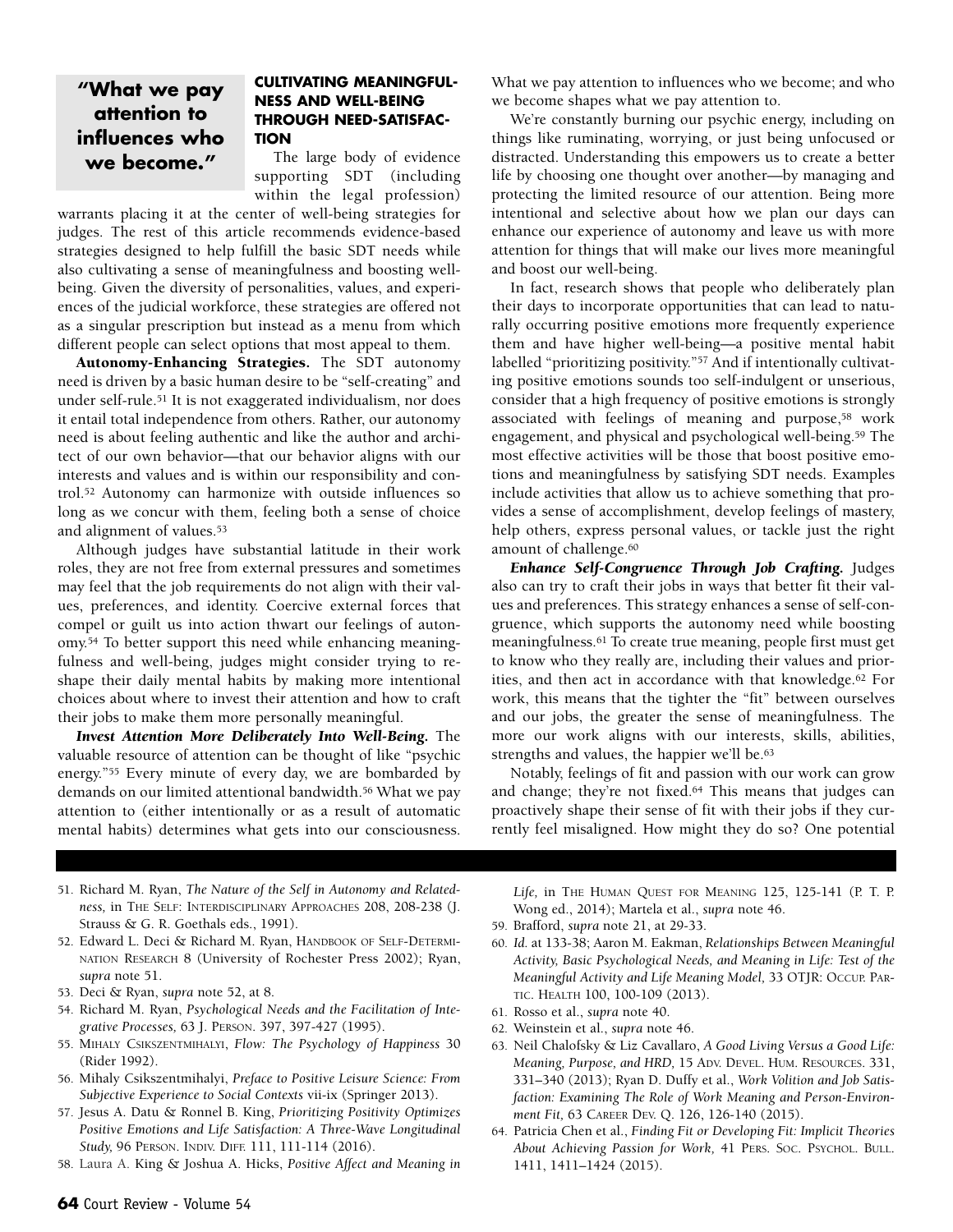## **"What we pay attention to influences who we become."**

## **CULTIVATING MEANINGFUL-NESS AND WELL-BEING THROUGH NEED-SATISFAC-TION**

The large body of evidence supporting SDT (including within the legal profession)

warrants placing it at the center of well-being strategies for judges. The rest of this article recommends evidence-based strategies designed to help fulfill the basic SDT needs while also cultivating a sense of meaningfulness and boosting wellbeing. Given the diversity of personalities, values, and experiences of the judicial workforce, these strategies are offered not as a singular prescription but instead as a menu from which different people can select options that most appeal to them.

**Autonomy-Enhancing Strategies.** The SDT autonomy need is driven by a basic human desire to be "self-creating" and under self-rule.51 It is not exaggerated individualism, nor does it entail total independence from others. Rather, our autonomy need is about feeling authentic and like the author and architect of our own behavior—that our behavior aligns with our interests and values and is within our responsibility and control.52 Autonomy can harmonize with outside influences so long as we concur with them, feeling both a sense of choice and alignment of values.53

Although judges have substantial latitude in their work roles, they are not free from external pressures and sometimes may feel that the job requirements do not align with their values, preferences, and identity. Coercive external forces that compel or guilt us into action thwart our feelings of autonomy.54 To better support this need while enhancing meaningfulness and well-being, judges might consider trying to reshape their daily mental habits by making more intentional choices about where to invest their attention and how to craft their jobs to make them more personally meaningful.

*Invest Attention More Deliberately Into Well-Being.* The valuable resource of attention can be thought of like "psychic energy."55 Every minute of every day, we are bombarded by demands on our limited attentional bandwidth.56 What we pay attention to (either intentionally or as a result of automatic mental habits) determines what gets into our consciousness.

What we pay attention to influences who we become; and who we become shapes what we pay attention to.

We're constantly burning our psychic energy, including on things like ruminating, worrying, or just being unfocused or distracted. Understanding this empowers us to create a better life by choosing one thought over another—by managing and protecting the limited resource of our attention. Being more intentional and selective about how we plan our days can enhance our experience of autonomy and leave us with more attention for things that will make our lives more meaningful and boost our well-being.

In fact, research shows that people who deliberately plan their days to incorporate opportunities that can lead to naturally occurring positive emotions more frequently experience them and have higher well-being—a positive mental habit labelled "prioritizing positivity."<sup>57</sup> And if intentionally cultivating positive emotions sounds too self-indulgent or unserious, consider that a high frequency of positive emotions is strongly associated with feelings of meaning and purpose,58 work engagement, and physical and psychological well-being.59 The most effective activities will be those that boost positive emotions and meaningfulness by satisfying SDT needs. Examples include activities that allow us to achieve something that provides a sense of accomplishment, develop feelings of mastery, help others, express personal values, or tackle just the right amount of challenge.60

*Enhance Self-Congruence Through Job Crafting.* Judges also can try to craft their jobs in ways that better fit their values and preferences. This strategy enhances a sense of self-congruence, which supports the autonomy need while boosting meaningfulness.61 To create true meaning, people first must get to know who they really are, including their values and priorities, and then act in accordance with that knowledge.62 For work, this means that the tighter the "fit" between ourselves and our jobs, the greater the sense of meaningfulness. The more our work aligns with our interests, skills, abilities, strengths and values, the happier we'll be.<sup>63</sup>

Notably, feelings of fit and passion with our work can grow and change; they're not fixed.64 This means that judges can proactively shape their sense of fit with their jobs if they currently feel misaligned. How might they do so? One potential

- 51. Richard M. Ryan, *The Nature of the Self in Autonomy and Relatedness,* in THE SELF: INTERDISCIPLINARY APPROACHES 208, 208-238 (J. Strauss & G. R. Goethals eds., 1991).
- 52. Edward L. Deci & Richard M. Ryan, HANDBOOK OF SELF-DETERMI-NATION RESEARCH 8 (University of Rochester Press 2002); Ryan, *supra* note 51.
- 53. Deci & Ryan, *supra* note 52, at 8.
- 54. Richard M. Ryan, *Psychological Needs and the Facilitation of Integrative Processes,* 63 J. PERSON. 397, 397-427 (1995).
- 55. MIHALY CSIKSZENTMIHALYI, *Flow: The Psychology of Happiness* 30 (Rider 1992).
- 56. Mihaly Csikszentmihalyi, *Preface to Positive Leisure Science: From Subjective Experience to Social Contexts* vii-ix (Springer 2013).
- 57. Jesus A. Datu & Ronnel B. King, *Prioritizing Positivity Optimizes Positive Emotions and Life Satisfaction: A Three-Wave Longitudinal Study,* 96 PERSON. INDIV. DIFF. 111, 111-114 (2016).
- 58. Laura A. King & Joshua A. Hicks, *Positive Affect and Meaning in*

*Life,* in THE HUMAN QUEST FOR MEANING 125, 125-141 (P. T. P. Wong ed., 2014); Martela et al., *supra* note 46.

- 59. Brafford, *supra* note 21, at 29-33.
- 60. *Id.* at 133-38; Aaron M. Eakman, *Relationships Between Meaningful Activity, Basic Psychological Needs, and Meaning in Life: Test of the Meaningful Activity and Life Meaning Model,* 33 OTJR: OCCUP. PAR-TIC. HEALTH 100, 100-109 (2013).
- 61. Rosso et al., *supra* note 40.
- 62. Weinstein et al., *supra* note 46.
- 63. Neil Chalofsky & Liz Cavallaro, *A Good Living Versus a Good Life: Meaning, Purpose, and HRD,* 15 ADV. DEVEL. HUM. RESOURCES. 331, 331–340 (2013); Ryan D. Duffy et al., *Work Volition and Job Satisfaction: Examining The Role of Work Meaning and Person-Environment Fit,* 63 CAREER DEV. Q. 126, 126-140 (2015).
- 64. Patricia Chen et al., *Finding Fit or Developing Fit: Implicit Theories About Achieving Passion for Work,* 41 PERS. SOC. PSYCHOL. BULL. 1411, 1411–1424 (2015).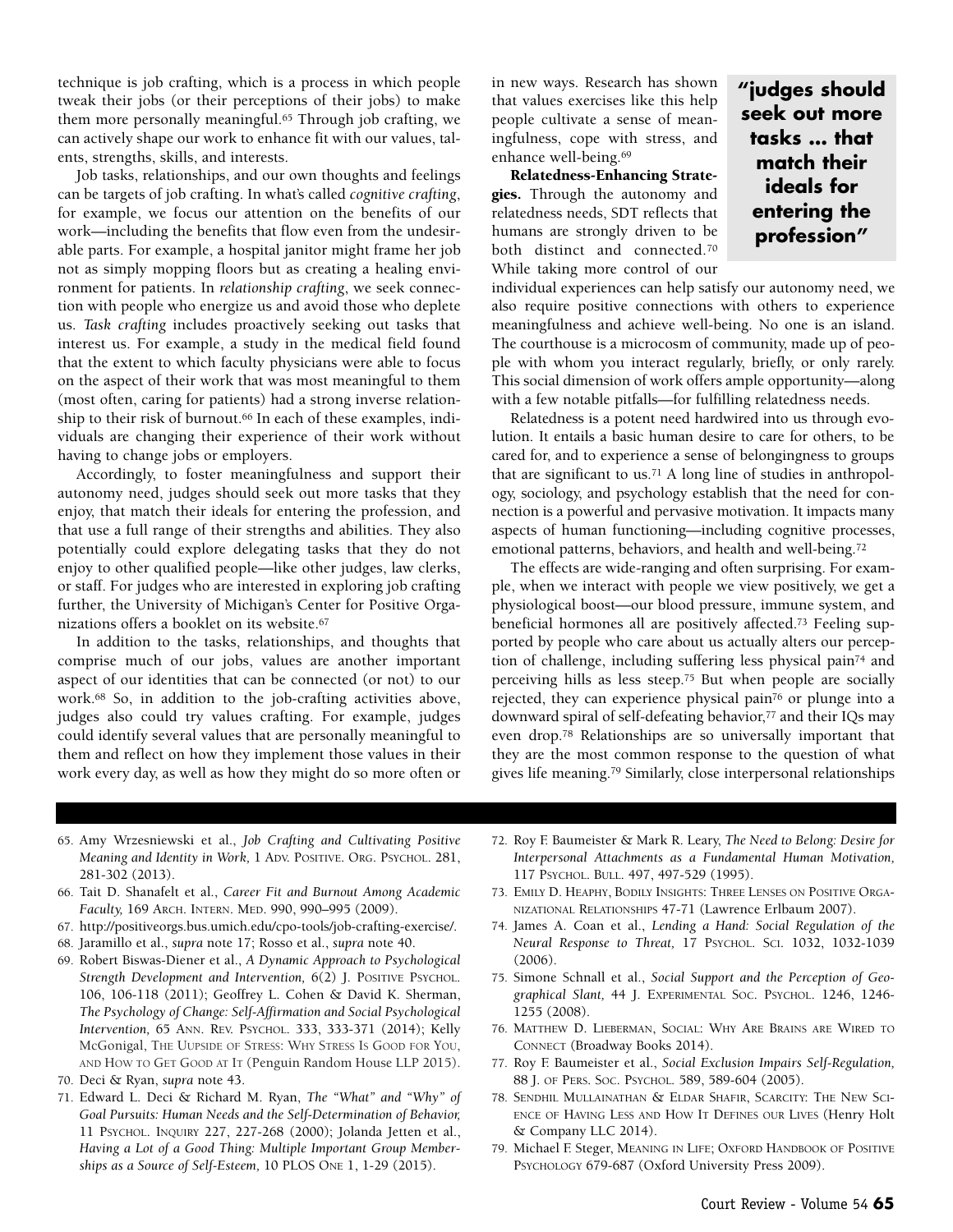technique is job crafting, which is a process in which people tweak their jobs (or their perceptions of their jobs) to make them more personally meaningful.65 Through job crafting, we can actively shape our work to enhance fit with our values, talents, strengths, skills, and interests.

Job tasks, relationships, and our own thoughts and feelings can be targets of job crafting. In what's called *cognitive crafting*, for example, we focus our attention on the benefits of our work—including the benefits that flow even from the undesirable parts. For example, a hospital janitor might frame her job not as simply mopping floors but as creating a healing environment for patients. In *relationship crafting*, we seek connection with people who energize us and avoid those who deplete us. *Task crafting* includes proactively seeking out tasks that interest us. For example, a study in the medical field found that the extent to which faculty physicians were able to focus on the aspect of their work that was most meaningful to them (most often, caring for patients) had a strong inverse relationship to their risk of burnout.<sup>66</sup> In each of these examples, individuals are changing their experience of their work without having to change jobs or employers.

Accordingly, to foster meaningfulness and support their autonomy need, judges should seek out more tasks that they enjoy, that match their ideals for entering the profession, and that use a full range of their strengths and abilities. They also potentially could explore delegating tasks that they do not enjoy to other qualified people—like other judges, law clerks, or staff. For judges who are interested in exploring job crafting further, the University of Michigan's Center for Positive Organizations offers a booklet on its website.67

In addition to the tasks, relationships, and thoughts that comprise much of our jobs, values are another important aspect of our identities that can be connected (or not) to our work.68 So, in addition to the job-crafting activities above, judges also could try values crafting. For example, judges could identify several values that are personally meaningful to them and reflect on how they implement those values in their work every day, as well as how they might do so more often or in new ways. Research has shown that values exercises like this help people cultivate a sense of meaningfulness, cope with stress, and enhance well-being.69

**Relatedness-Enhancing Strategies.** Through the autonomy and relatedness needs, SDT reflects that humans are strongly driven to be both distinct and connected.70 While taking more control of our

individual experiences can help satisfy our autonomy need, we also require positive connections with others to experience meaningfulness and achieve well-being. No one is an island. The courthouse is a microcosm of community, made up of people with whom you interact regularly, briefly, or only rarely. This social dimension of work offers ample opportunity—along with a few notable pitfalls—for fulfilling relatedness needs.

**"judges should seek out more tasks … that match their ideals for entering the profession"**

Relatedness is a potent need hardwired into us through evolution. It entails a basic human desire to care for others, to be cared for, and to experience a sense of belongingness to groups that are significant to us.71 A long line of studies in anthropology, sociology, and psychology establish that the need for connection is a powerful and pervasive motivation. It impacts many aspects of human functioning—including cognitive processes, emotional patterns, behaviors, and health and well-being.72

The effects are wide-ranging and often surprising. For example, when we interact with people we view positively, we get a physiological boost—our blood pressure, immune system, and beneficial hormones all are positively affected.73 Feeling supported by people who care about us actually alters our perception of challenge, including suffering less physical pain74 and perceiving hills as less steep.75 But when people are socially rejected, they can experience physical pain76 or plunge into a downward spiral of self-defeating behavior,<sup>77</sup> and their IQs may even drop.78 Relationships are so universally important that they are the most common response to the question of what gives life meaning.79 Similarly, close interpersonal relationships

- 65. Amy Wrzesniewski et al., *Job Crafting and Cultivating Positive Meaning and Identity in Work,* 1 ADV. POSITIVE. ORG. PSYCHOL. 281, 281-302 (2013).
- 66. Tait D. Shanafelt et al., *Career Fit and Burnout Among Academic Faculty,* 169 ARCH. INTERN. MED. 990, 990–995 (2009).
- 67. http://positiveorgs.bus.umich.edu/cpo-tools/job-crafting-exercise/.
- 68. Jaramillo et al., *supra* note 17; Rosso et al., *supra* note 40.
- 69. Robert Biswas-Diener et al., *A Dynamic Approach to Psychological Strength Development and Intervention,* 6(2) J. POSITIVE PSYCHOL. 106, 106-118 (2011); Geoffrey L. Cohen & David K. Sherman, *The Psychology of Change: Self-Affirmation and Social Psychological Intervention,* 65 ANN. REV. PSYCHOL. 333, 333-371 (2014); Kelly McGonigal, THE UUPSIDE OF STRESS: WHY STRESS IS GOOD FOR YOU, AND HOW TO GET GOOD AT IT (Penguin Random House LLP 2015).
- 70. Deci & Ryan, *supra* note 43.
- 71. Edward L. Deci & Richard M. Ryan, *The "What" and "Why" of Goal Pursuits: Human Needs and the Self-Determination of Behavior,* 11 PSYCHOL. INQUIRY 227, 227-268 (2000); Jolanda Jetten et al., *Having a Lot of a Good Thing: Multiple Important Group Memberships as a Source of Self-Esteem,* 10 PLOS ONE 1, 1-29 (2015).
- 72. Roy F. Baumeister & Mark R. Leary, *The Need to Belong: Desire for Interpersonal Attachments as a Fundamental Human Motivation,* 117 PSYCHOL. BULL. 497, 497-529 (1995).
- 73. EMILY D. HEAPHY, BODILY INSIGHTS: THREE LENSES ON POSITIVE ORGA-NIZATIONAL RELATIONSHIPS 47-71 (Lawrence Erlbaum 2007).
- 74. James A. Coan et al., *Lending a Hand: Social Regulation of the Neural Response to Threat,* 17 PSYCHOL. SCI. 1032, 1032-1039 (2006).
- 75. Simone Schnall et al., *Social Support and the Perception of Geographical Slant,* 44 J. EXPERIMENTAL SOC. PSYCHOL. 1246, 1246- 1255 (2008).
- 76. MATTHEW D. LIEBERMAN, SOCIAL: WHY ARE BRAINS ARE WIRED TO CONNECT (Broadway Books 2014).
- 77. Roy F. Baumeister et al., *Social Exclusion Impairs Self-Regulation,* 88 J. OF PERS. SOC. PSYCHOL*.* 589, 589-604 (2005).
- 78. SENDHIL MULLAINATHAN & ELDAR SHAFIR, SCARCITY: THE NEW SCI-ENCE OF HAVING LESS AND HOW IT DEFINES OUR LIVES (Henry Holt & Company LLC 2014).
- 79. Michael F. Steger, MEANING IN LIFE; OXFORD HANDBOOK OF POSITIVE PSYCHOLOGY 679-687 (Oxford University Press 2009).

Court Review - Volume 54 **65**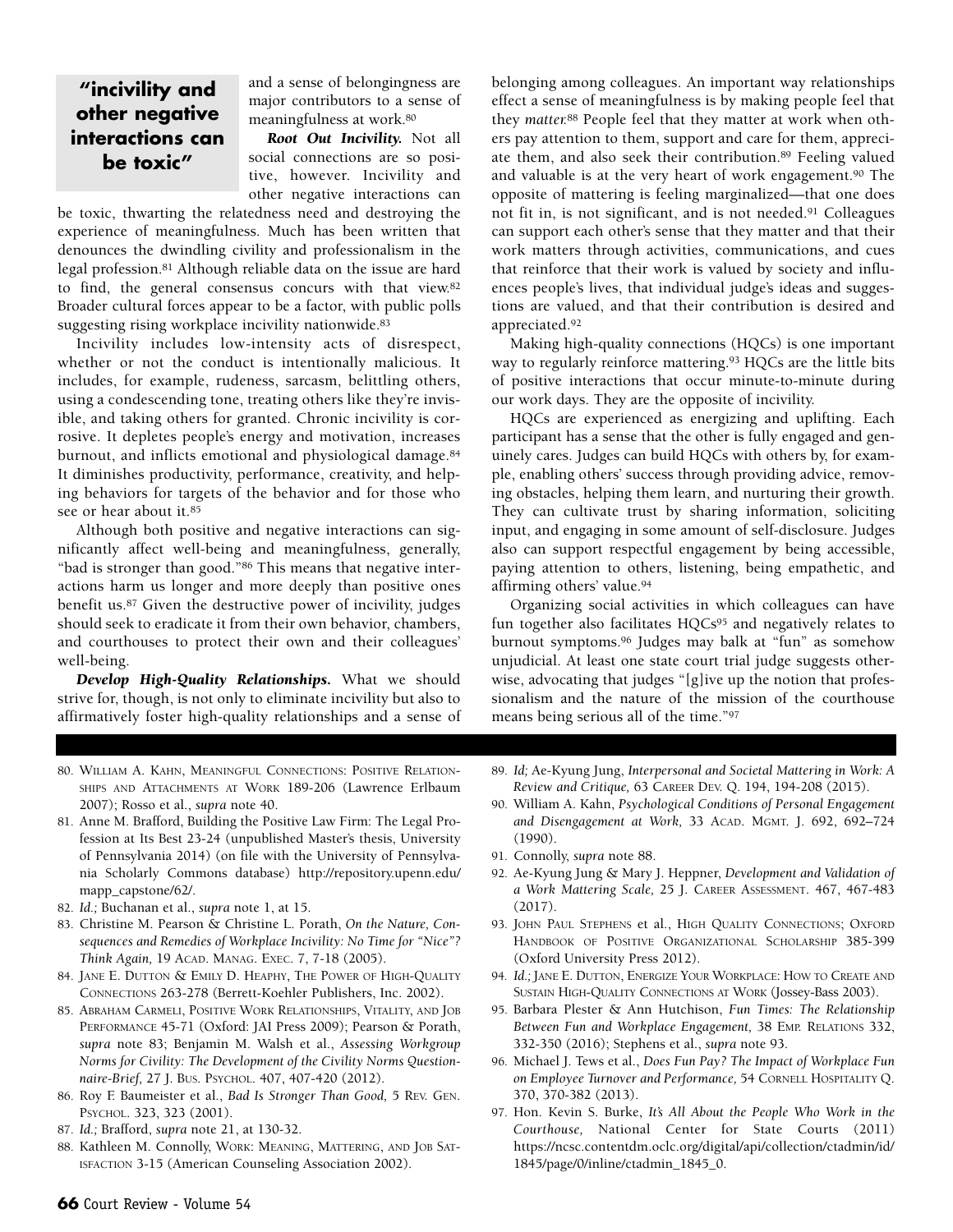## **"incivility and other negative interactions can be toxic"**

and a sense of belongingness are major contributors to a sense of meaningfulness at work.80

*Root Out Incivility.* Not all social connections are so positive, however. Incivility and other negative interactions can

be toxic, thwarting the relatedness need and destroying the experience of meaningfulness. Much has been written that denounces the dwindling civility and professionalism in the legal profession.81 Although reliable data on the issue are hard to find, the general consensus concurs with that view.82 Broader cultural forces appear to be a factor, with public polls suggesting rising workplace incivility nationwide.83

Incivility includes low-intensity acts of disrespect, whether or not the conduct is intentionally malicious. It includes, for example, rudeness, sarcasm, belittling others, using a condescending tone, treating others like they're invisible, and taking others for granted. Chronic incivility is corrosive. It depletes people's energy and motivation, increases burnout, and inflicts emotional and physiological damage.84 It diminishes productivity, performance, creativity, and helping behaviors for targets of the behavior and for those who see or hear about it.85

Although both positive and negative interactions can significantly affect well-being and meaningfulness, generally, "bad is stronger than good."86 This means that negative interactions harm us longer and more deeply than positive ones benefit us.87 Given the destructive power of incivility, judges should seek to eradicate it from their own behavior, chambers, and courthouses to protect their own and their colleagues' well-being.

*Develop High-Quality Relationships.* What we should strive for, though, is not only to eliminate incivility but also to affirmatively foster high-quality relationships and a sense of belonging among colleagues. An important way relationships effect a sense of meaningfulness is by making people feel that they *matter.*<sup>88</sup> People feel that they matter at work when others pay attention to them, support and care for them, appreciate them, and also seek their contribution.89 Feeling valued and valuable is at the very heart of work engagement.90 The opposite of mattering is feeling marginalized—that one does not fit in, is not significant, and is not needed.91 Colleagues can support each other's sense that they matter and that their work matters through activities, communications, and cues that reinforce that their work is valued by society and influences people's lives, that individual judge's ideas and suggestions are valued, and that their contribution is desired and appreciated.92

Making high-quality connections (HQCs) is one important way to regularly reinforce mattering.<sup>93</sup> HQCs are the little bits of positive interactions that occur minute-to-minute during our work days. They are the opposite of incivility.

HQCs are experienced as energizing and uplifting. Each participant has a sense that the other is fully engaged and genuinely cares. Judges can build HQCs with others by, for example, enabling others' success through providing advice, removing obstacles, helping them learn, and nurturing their growth. They can cultivate trust by sharing information, soliciting input, and engaging in some amount of self-disclosure. Judges also can support respectful engagement by being accessible, paying attention to others, listening, being empathetic, and affirming others' value.94

Organizing social activities in which colleagues can have fun together also facilitates HQCs<sup>95</sup> and negatively relates to burnout symptoms.96 Judges may balk at "fun" as somehow unjudicial. At least one state court trial judge suggests otherwise, advocating that judges "[g]ive up the notion that professionalism and the nature of the mission of the courthouse means being serious all of the time."97

- 80. WILLIAM A. KAHN, MEANINGFUL CONNECTIONS: POSITIVE RELATION-SHIPS AND ATTACHMENTS AT WORK 189-206 (Lawrence Erlbaum 2007); Rosso et al., *supra* note 40.
- 81. Anne M. Brafford, Building the Positive Law Firm: The Legal Profession at Its Best 23-24 (unpublished Master's thesis, University of Pennsylvania 2014) (on file with the University of Pennsylvania Scholarly Commons database) [http://repository.upenn.edu/](http://repository.upenn.edu/mapp_capstone/62) [mapp\\_capstone/62/](http://repository.upenn.edu/mapp_capstone/62).
- 82. *Id.;* Buchanan et al., *supra* note 1, at 15.
- 83. Christine M. Pearson & Christine L. Porath, *On the Nature, Consequences and Remedies of Workplace Incivility: No Time for "Nice"? Think Again,* 19 ACAD. MANAG. EXEC. 7, 7-18 (2005).
- 84. JANE E. DUTTON & EMILY D. HEAPHY, THE POWER OF HIGH-QUALITY CONNECTIONS 263-278 (Berrett-Koehler Publishers, Inc. 2002).
- 85. ABRAHAM CARMELI, POSITIVE WORK RELATIONSHIPS, VITALITY, AND JOB PERFORMANCE 45-71 (Oxford: JAI Press 2009); Pearson & Porath, *supra* note 83; Benjamin M. Walsh et al., *Assessing Workgroup Norms for Civility: The Development of the Civility Norms Questionnaire-Brief,* 27 J. BUS. PSYCHOL. 407, 407-420 (2012).
- 86. Roy F. Baumeister et al., *Bad Is Stronger Than Good,* 5 REV. GEN. PSYCHOL. 323, 323 (2001).
- 87. *Id.;* Brafford, *supra* note 21, at 130-32.
- 88. Kathleen M. Connolly, WORK: MEANING, MATTERING, AND JOB SAT-ISFACTION 3-15 (American Counseling Association 2002).
- 89. *Id;* Ae-Kyung Jung, *Interpersonal and Societal Mattering in Work: A Review and Critique,* 63 CAREER DEV. Q. 194, 194-208 (2015).
- 90. William A. Kahn, *Psychological Conditions of Personal Engagement and Disengagement at Work,* 33 ACAD. MGMT. J. 692, 692–724 (1990).
- 91. Connolly, *supra* note 88.
- 92. Ae-Kyung Jung & Mary J. Heppner, *Development and Validation of a Work Mattering Scale,* 25 J. CAREER ASSESSMENT. 467, 467-483 (2017).
- 93. JOHN PAUL STEPHENS et al., HIGH QUALITY CONNECTIONS; OXFORD HANDBOOK OF POSITIVE ORGANIZATIONAL SCHOLARSHIP 385-399 (Oxford University Press 2012).
- 94. *Id.;* JANE E. DUTTON, ENERGIZE YOUR WORKPLACE: HOW TO CREATE AND SUSTAIN HIGH-QUALITY CONNECTIONS AT WORK (Jossey-Bass 2003).
- 95. Barbara Plester & Ann Hutchison, *Fun Times: The Relationship Between Fun and Workplace Engagement,* 38 EMP. RELATIONS 332, 332-350 (2016); Stephens et al., *supra* note 93.
- 96. Michael J. Tews et al., *Does Fun Pay? The Impact of Workplace Fun on Employee Turnover and Performance,* 54 CORNELL HOSPITALITY Q. 370, 370-382 (2013).
- 97. Hon. Kevin S. Burke, *It's All About the People Who Work in the Courthouse,* National Center for State Courts (2011) https://ncsc.contentdm.oclc.org/digital/api/collection/ctadmin/id/ 1845/page/0/inline/ctadmin\_1845\_0.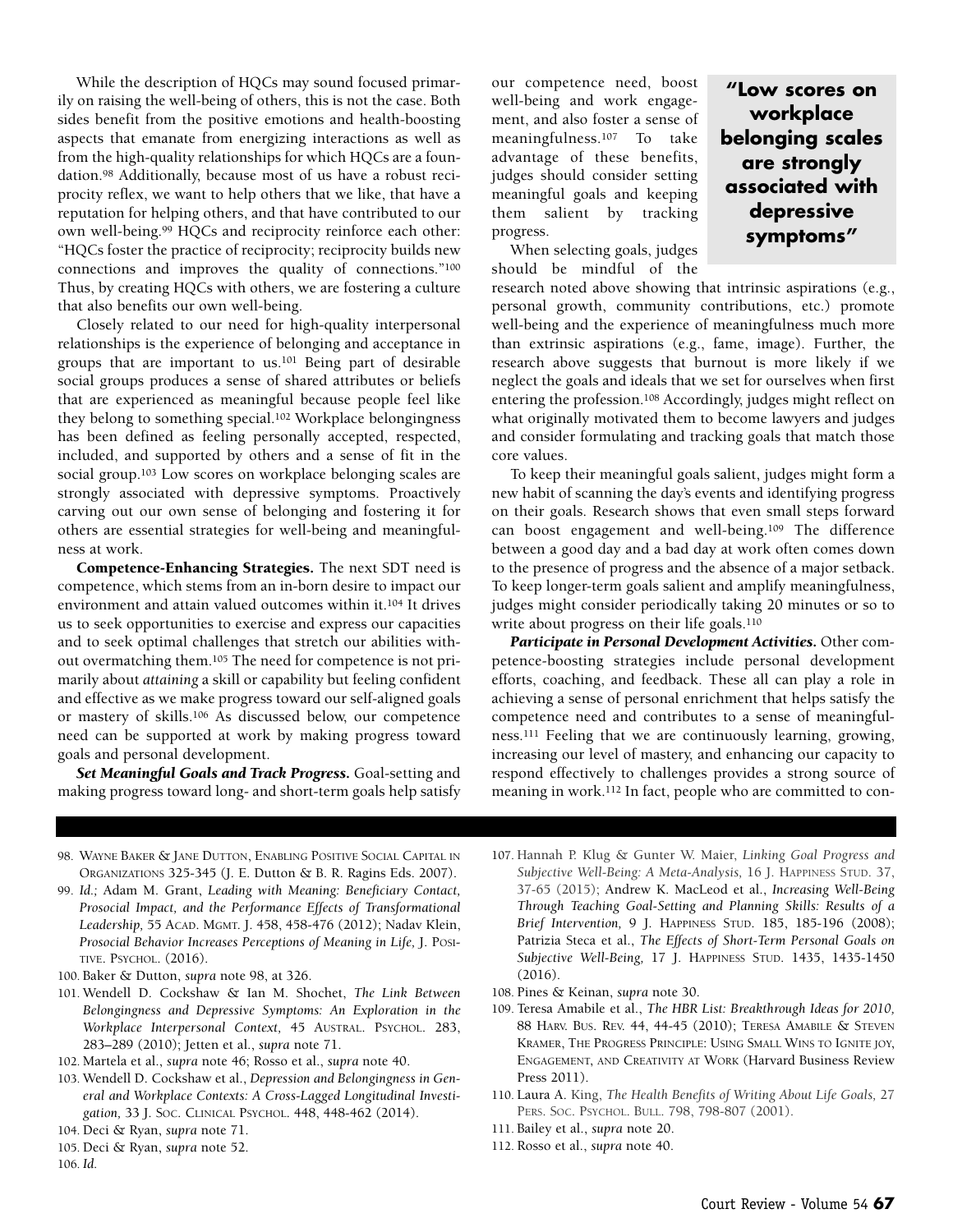While the description of HQCs may sound focused primarily on raising the well-being of others, this is not the case. Both sides benefit from the positive emotions and health-boosting aspects that emanate from energizing interactions as well as from the high-quality relationships for which HQCs are a foundation.98 Additionally, because most of us have a robust reciprocity reflex, we want to help others that we like, that have a reputation for helping others, and that have contributed to our own well-being.99 HQCs and reciprocity reinforce each other: "HQCs foster the practice of reciprocity; reciprocity builds new connections and improves the quality of connections."100 Thus, by creating HQCs with others, we are fostering a culture that also benefits our own well-being.

Closely related to our need for high-quality interpersonal relationships is the experience of belonging and acceptance in groups that are important to us.101 Being part of desirable social groups produces a sense of shared attributes or beliefs that are experienced as meaningful because people feel like they belong to something special.102 Workplace belongingness has been defined as feeling personally accepted, respected, included, and supported by others and a sense of fit in the social group.103 Low scores on workplace belonging scales are strongly associated with depressive symptoms. Proactively carving out our own sense of belonging and fostering it for others are essential strategies for well-being and meaningfulness at work.

**Competence-Enhancing Strategies.** The next SDT need is competence, which stems from an in-born desire to impact our environment and attain valued outcomes within it.104 It drives us to seek opportunities to exercise and express our capacities and to seek optimal challenges that stretch our abilities without overmatching them.105 The need for competence is not primarily about *attaining* a skill or capability but feeling confident and effective as we make progress toward our self-aligned goals or mastery of skills.106 As discussed below, our competence need can be supported at work by making progress toward goals and personal development.

*Set Meaningful Goals and Track Progress.* Goal-setting and making progress toward long- and short-term goals help satisfy our competence need, boost well-being and work engagement, and also foster a sense of meaningfulness.107 To take advantage of these benefits, judges should consider setting meaningful goals and keeping them salient by tracking progress.

When selecting goals, judges should be mindful of the

**"Low scores on workplace belonging scales are strongly associated with depressive symptoms"**

research noted above showing that intrinsic aspirations (e.g., personal growth, community contributions, etc.) promote well-being and the experience of meaningfulness much more than extrinsic aspirations (e.g., fame, image). Further, the research above suggests that burnout is more likely if we neglect the goals and ideals that we set for ourselves when first entering the profession.108 Accordingly, judges might reflect on what originally motivated them to become lawyers and judges and consider formulating and tracking goals that match those core values.

To keep their meaningful goals salient, judges might form a new habit of scanning the day's events and identifying progress on their goals. Research shows that even small steps forward can boost engagement and well-being.109 The difference between a good day and a bad day at work often comes down to the presence of progress and the absence of a major setback. To keep longer-term goals salient and amplify meaningfulness, judges might consider periodically taking 20 minutes or so to write about progress on their life goals.<sup>110</sup>

*Participate in Personal Development Activities.* Other competence-boosting strategies include personal development efforts, coaching, and feedback. These all can play a role in achieving a sense of personal enrichment that helps satisfy the competence need and contributes to a sense of meaningfulness.111 Feeling that we are continuously learning, growing, increasing our level of mastery, and enhancing our capacity to respond effectively to challenges provides a strong source of meaning in work.112 In fact, people who are committed to con-

- 98. WAYNE BAKER & JANE DUTTON, ENABLING POSITIVE SOCIAL CAPITAL IN ORGANIZATIONS 325-345 (J. E. Dutton & B. R. Ragins Eds. 2007).
- 99. *Id.;* Adam M. Grant, *Leading with Meaning: Beneficiary Contact, Prosocial Impact, and the Performance Effects of Transformational Leadership,* 55 ACAD. MGMT. J. 458, 458-476 (2012); Nadav Klein, *Prosocial Behavior Increases Perceptions of Meaning in Life,* J. POSI-TIVE. PSYCHOL. (2016).
- 100. Baker & Dutton, *supra* note 98, at 326.
- 101. Wendell D. Cockshaw & Ian M. Shochet, *The Link Between Belongingness and Depressive Symptoms: An Exploration in the Workplace Interpersonal Context,* 45 AUSTRAL. PSYCHOL. 283, 283–289 (2010); Jetten et al., *supra* note 71.
- 102. Martela et al., *supra* note 46; Rosso et al., *supra* note 40.
- 103. Wendell D. Cockshaw et al., *Depression and Belongingness in General and Workplace Contexts: A Cross-Lagged Longitudinal Investigation,* 33 J. SOC. CLINICAL PSYCHOL. 448, 448-462 (2014).
- 104. Deci & Ryan, *supra* note 71.
- 105. Deci & Ryan, *supra* note 52.

106. *Id.*

- 107. Hannah P. Klug & Gunter W. Maier, *Linking Goal Progress and Subjective Well-Being: A Meta-Analysis,* 16 J. HAPPINESS STUD. 37, 37-65 (2015); Andrew K. MacLeod et al., *Increasing Well-Being Through Teaching Goal-Setting and Planning Skills: Results of a Brief Intervention,* 9 J. HAPPINESS STUD. 185, 185-196 (2008); Patrizia Steca et al., *The Effects of Short-Term Personal Goals on Subjective Well-Being,* 17 J. HAPPINESS STUD. 1435, 1435-1450 (2016).
- 108. Pines & Keinan, *supra* note 30.
- 109. Teresa Amabile et al., *The HBR List: Breakthrough Ideas for 2010,* 88 HARV. BUS. REV. 44, 44-45 (2010); TERESA AMABILE & STEVEN KRAMER, THE PROGRESS PRINCIPLE: USING SMALL WINS TO IGNITE JOY, ENGAGEMENT, AND CREATIVITY AT WORK (Harvard Business Review Press 2011).
- 110. Laura A. King, *The Health Benefits of Writing About Life Goals,* 27 PERS. SOC. PSYCHOL. BULL. 798, 798-807 (2001).
- 111. Bailey et al., *supra* note 20.
- 112. Rosso et al., *supra* note 40.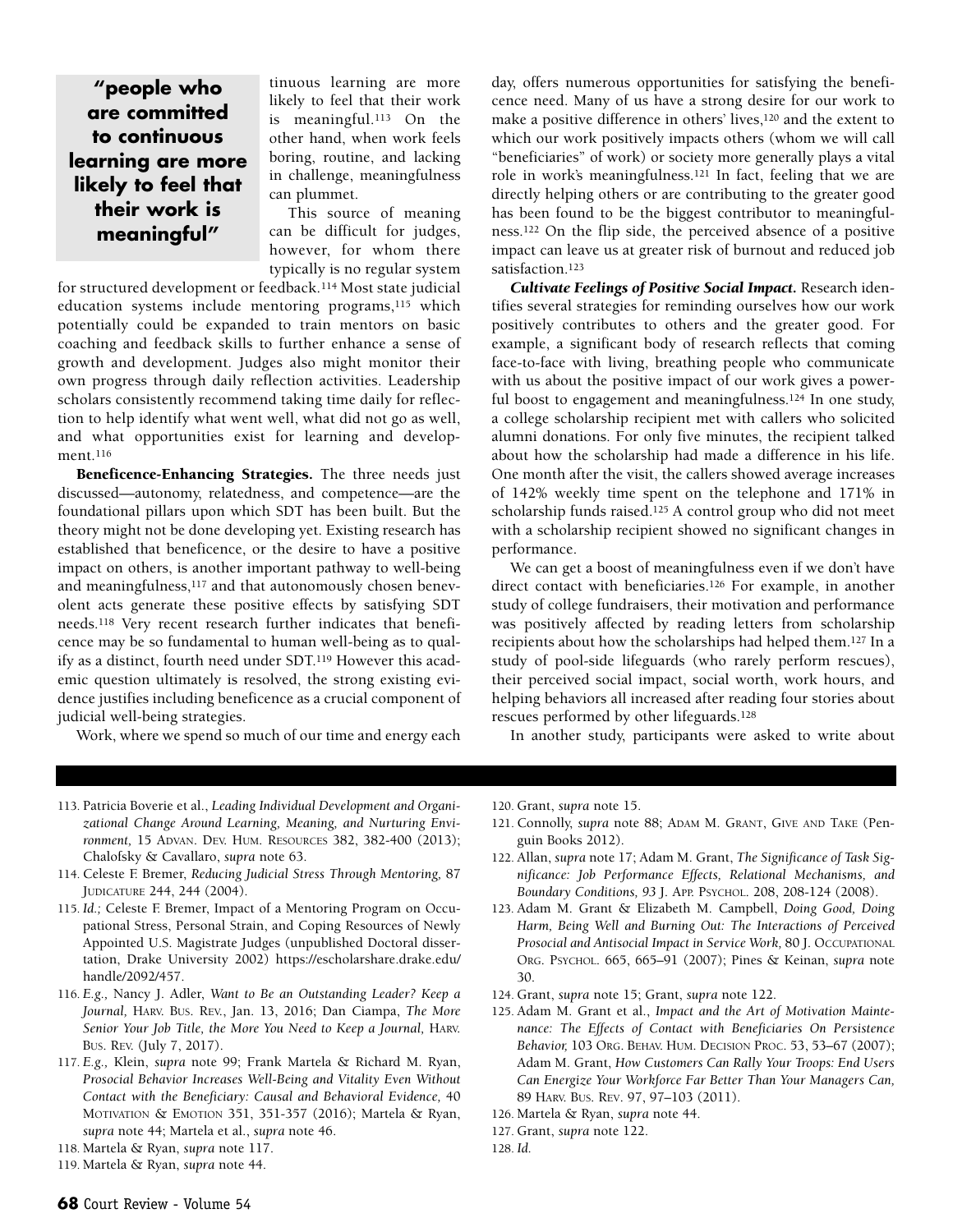**"people who are committed to continuous learning are more likely to feel that their work is meaningful"**

tinuous learning are more likely to feel that their work is meaningful.113 On the other hand, when work feels boring, routine, and lacking in challenge, meaningfulness can plummet.

This source of meaning can be difficult for judges, however, for whom there typically is no regular system

for structured development or feedback.114 Most state judicial education systems include mentoring programs,<sup>115</sup> which potentially could be expanded to train mentors on basic coaching and feedback skills to further enhance a sense of growth and development. Judges also might monitor their own progress through daily reflection activities. Leadership scholars consistently recommend taking time daily for reflection to help identify what went well, what did not go as well, and what opportunities exist for learning and development.116

**Beneficence-Enhancing Strategies.** The three needs just discussed—autonomy, relatedness, and competence—are the foundational pillars upon which SDT has been built. But the theory might not be done developing yet. Existing research has established that beneficence, or the desire to have a positive impact on others, is another important pathway to well-being and meaningfulness,<sup>117</sup> and that autonomously chosen benevolent acts generate these positive effects by satisfying SDT needs.118 Very recent research further indicates that beneficence may be so fundamental to human well-being as to qualify as a distinct, fourth need under SDT.119 However this academic question ultimately is resolved, the strong existing evidence justifies including beneficence as a crucial component of judicial well-being strategies.

Work, where we spend so much of our time and energy each

day, offers numerous opportunities for satisfying the beneficence need. Many of us have a strong desire for our work to make a positive difference in others' lives,120 and the extent to which our work positively impacts others (whom we will call "beneficiaries" of work) or society more generally plays a vital role in work's meaningfulness.121 In fact, feeling that we are directly helping others or are contributing to the greater good has been found to be the biggest contributor to meaningfulness.122 On the flip side, the perceived absence of a positive impact can leave us at greater risk of burnout and reduced job satisfaction.<sup>123</sup>

*Cultivate Feelings of Positive Social Impact.* Research identifies several strategies for reminding ourselves how our work positively contributes to others and the greater good. For example, a significant body of research reflects that coming face-to-face with living, breathing people who communicate with us about the positive impact of our work gives a powerful boost to engagement and meaningfulness.<sup>124</sup> In one study, a college scholarship recipient met with callers who solicited alumni donations. For only five minutes, the recipient talked about how the scholarship had made a difference in his life. One month after the visit, the callers showed average increases of 142% weekly time spent on the telephone and 171% in scholarship funds raised.125 A control group who did not meet with a scholarship recipient showed no significant changes in performance.

We can get a boost of meaningfulness even if we don't have direct contact with beneficiaries.126 For example, in another study of college fundraisers, their motivation and performance was positively affected by reading letters from scholarship recipients about how the scholarships had helped them.127 In a study of pool-side lifeguards (who rarely perform rescues), their perceived social impact, social worth, work hours, and helping behaviors all increased after reading four stories about rescues performed by other lifeguards.128

In another study, participants were asked to write about

- 113. Patricia Boverie et al., *Leading Individual Development and Organizational Change Around Learning, Meaning, and Nurturing Environment,* 15 ADVAN. DEV. HUM. RESOURCES 382, 382-400 (2013); Chalofsky & Cavallaro, *supra* note 63.
- 114. Celeste F. Bremer, *Reducing Judicial Stress Through Mentoring,* 87 JUDICATURE 244, 244 (2004).
- 115. *Id.;* Celeste F. Bremer, Impact of a Mentoring Program on Occupational Stress, Personal Strain, and Coping Resources of Newly Appointed U.S. Magistrate Judges (unpublished Doctoral dissertation, Drake University 2002) [https://escholarshare.drake.edu/](https://escholarshare.drake.edu/handle/2092/457) [handle/2092/457.](https://escholarshare.drake.edu/handle/2092/457)
- 116. *E.g.,* Nancy J. Adler, *Want to Be an Outstanding Leader? Keep a Journal,* HARV. BUS. REV., Jan. 13, 2016; Dan Ciampa, *The More Senior Your Job Title, the More You Need to Keep a Journal,* HARV. BUS. REV. (July 7, 2017).
- 117. *E.g.,* Klein, *supra* note 99; Frank Martela & Richard M. Ryan, *Prosocial Behavior Increases Well-Being and Vitality Even Without Contact with the Beneficiary: Causal and Behavioral Evidence,* 40 MOTIVATION & EMOTION 351, 351-357 (2016); Martela & Ryan, *supra* note 44; Martela et al., *supra* note 46.

120. Grant, *supra* note 15.

- 121. Connolly, *supra* note 88; ADAM M. GRANT, GIVE AND TAKE (Penguin Books 2012).
- 122. Allan, *supra* note 17; Adam M. Grant, *The Significance of Task Significance: Job Performance Effects, Relational Mechanisms, and Boundary Conditions, 93* J. APP. PSYCHOL. 208, 208-124 (2008).
- 123. Adam M. Grant & Elizabeth M. Campbell, *Doing Good, Doing Harm, Being Well and Burning Out: The Interactions of Perceived Prosocial and Antisocial Impact in Service Work,* 80 J. OCCUPATIONAL ORG. PSYCHOL. 665, 665–91 (2007); Pines & Keinan, *supra* note 30.
- 124. Grant, *supra* note 15; Grant, *supra* note 122.
- 125. Adam M. Grant et al., *Impact and the Art of Motivation Maintenance: The Effects of Contact with Beneficiaries On Persistence Behavior,* 103 ORG. BEHAV. HUM. DECISION PROC. 53, 53–67 (2007); Adam M. Grant, *How Customers Can Rally Your Troops: End Users Can Energize Your Workforce Far Better Than Your Managers Can,* 89 HARV. BUS. REV. 97, 97–103 (2011).
- 126. Martela & Ryan, *supra* note 44.
- 127. Grant, *supra* note 122.
- 128. *Id.*

<sup>118.</sup> Martela & Ryan, *supra* note 117.

<sup>119.</sup> Martela & Ryan, *supra* note 44.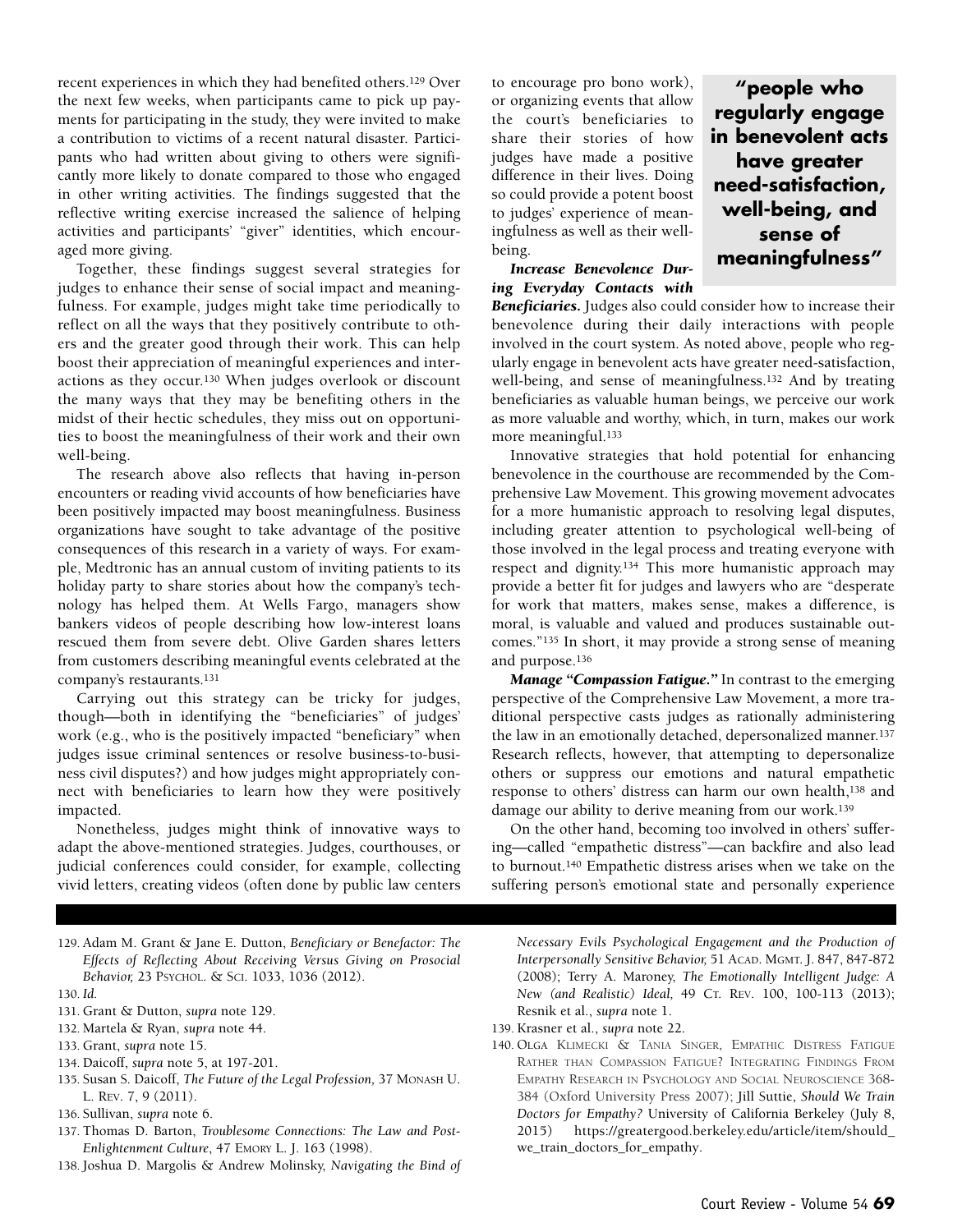recent experiences in which they had benefited others.129 Over the next few weeks, when participants came to pick up payments for participating in the study, they were invited to make a contribution to victims of a recent natural disaster. Participants who had written about giving to others were significantly more likely to donate compared to those who engaged in other writing activities. The findings suggested that the reflective writing exercise increased the salience of helping activities and participants' "giver" identities, which encouraged more giving.

Together, these findings suggest several strategies for judges to enhance their sense of social impact and meaningfulness. For example, judges might take time periodically to reflect on all the ways that they positively contribute to others and the greater good through their work. This can help boost their appreciation of meaningful experiences and interactions as they occur.130 When judges overlook or discount the many ways that they may be benefiting others in the midst of their hectic schedules, they miss out on opportunities to boost the meaningfulness of their work and their own well-being.

The research above also reflects that having in-person encounters or reading vivid accounts of how beneficiaries have been positively impacted may boost meaningfulness. Business organizations have sought to take advantage of the positive consequences of this research in a variety of ways. For example, Medtronic has an annual custom of inviting patients to its holiday party to share stories about how the company's technology has helped them. At Wells Fargo, managers show bankers videos of people describing how low-interest loans rescued them from severe debt. Olive Garden shares letters from customers describing meaningful events celebrated at the company's restaurants.131

Carrying out this strategy can be tricky for judges, though—both in identifying the "beneficiaries" of judges' work (e.g., who is the positively impacted "beneficiary" when judges issue criminal sentences or resolve business-to-business civil disputes?) and how judges might appropriately connect with beneficiaries to learn how they were positively impacted.

Nonetheless, judges might think of innovative ways to adapt the above-mentioned strategies. Judges, courthouses, or judicial conferences could consider, for example, collecting vivid letters, creating videos (often done by public law centers

129. Adam M. Grant & Jane E. Dutton, *Beneficiary or Benefactor: The Effects of Reflecting About Receiving Versus Giving on Prosocial Behavior,* 23 PSYCHOL. & SCI. 1033, 1036 (2012).

130. *Id.*

- 131. Grant & Dutton, *supra* note 129.
- 132. Martela & Ryan, *supra* note 44.
- 133. Grant, *supra* note 15.
- 134. Daicoff, *supra* note 5, at 197-201.
- 135. Susan S. Daicoff, *The Future of the Legal Profession,* 37 MONASH U. L. REV. 7, 9 (2011).
- 136. Sullivan, *supra* note 6.
- 137. Thomas D. Barton, *Troublesome Connections: The Law and Post-Enlightenment Culture*, 47 EMORY L. J. 163 (1998).
- 138. Joshua D. Margolis & Andrew Molinsky, *Navigating the Bind of*

to encourage pro bono work), or organizing events that allow the court's beneficiaries to share their stories of how judges have made a positive difference in their lives. Doing so could provide a potent boost to judges' experience of meaningfulness as well as their wellbeing.

*Increase Benevolence During Everyday Contacts with*

*Beneficiaries.* Judges also could consider how to increase their benevolence during their daily interactions with people involved in the court system. As noted above, people who regularly engage in benevolent acts have greater need-satisfaction, well-being, and sense of meaningfulness.132 And by treating beneficiaries as valuable human beings, we perceive our work as more valuable and worthy, which, in turn, makes our work more meaningful.133

Innovative strategies that hold potential for enhancing benevolence in the courthouse are recommended by the Comprehensive Law Movement. This growing movement advocates for a more humanistic approach to resolving legal disputes, including greater attention to psychological well-being of those involved in the legal process and treating everyone with respect and dignity.134 This more humanistic approach may provide a better fit for judges and lawyers who are "desperate for work that matters, makes sense, makes a difference, is moral, is valuable and valued and produces sustainable outcomes."135 In short, it may provide a strong sense of meaning and purpose.136

*Manage "Compassion Fatigue."* In contrast to the emerging perspective of the Comprehensive Law Movement, a more traditional perspective casts judges as rationally administering the law in an emotionally detached, depersonalized manner.137 Research reflects, however, that attempting to depersonalize others or suppress our emotions and natural empathetic response to others' distress can harm our own health,138 and damage our ability to derive meaning from our work.139

On the other hand, becoming too involved in others' suffering—called "empathetic distress"—can backfire and also lead to burnout.140 Empathetic distress arises when we take on the suffering person's emotional state and personally experience

*Necessary Evils Psychological Engagement and the Production of Interpersonally Sensitive Behavior,* 51 ACAD. MGMT. J. 847, 847-872 (2008); Terry A. Maroney, *The Emotionally Intelligent Judge: A New (and Realistic) Ideal,* 49 CT. REV. 100, 100-113 (2013); Resnik et al., *supra* note 1.

- 139. Krasner et al., *supra* note 22.
- 140. OLGA KLIMECKI & TANIA SINGER, EMPATHIC DISTRESS FATIGUE RATHER THAN COMPASSION FATIGUE? INTEGRATING FINDINGS FROM EMPATHY RESEARCH IN PSYCHOLOGY AND SOCIAL NEUROSCIENCE 368- 384 (Oxford University Press 2007); Jill Suttie, *Should We Train Doctors for Empathy?* University of California Berkeley (July 8, 2015) [https://greatergood.berkeley.edu/article/item/should\\_](https://greatergood.berkeley.edu/article/item/should_we_train_doctors_for_empathy) [we\\_train\\_doctors\\_for\\_empathy.](https://greatergood.berkeley.edu/article/item/should_we_train_doctors_for_empathy)

Court Review - Volume 54 **69**

**"people who regularly engage in benevolent acts have greater need-satisfaction, well-being, and sense of meaningfulness"**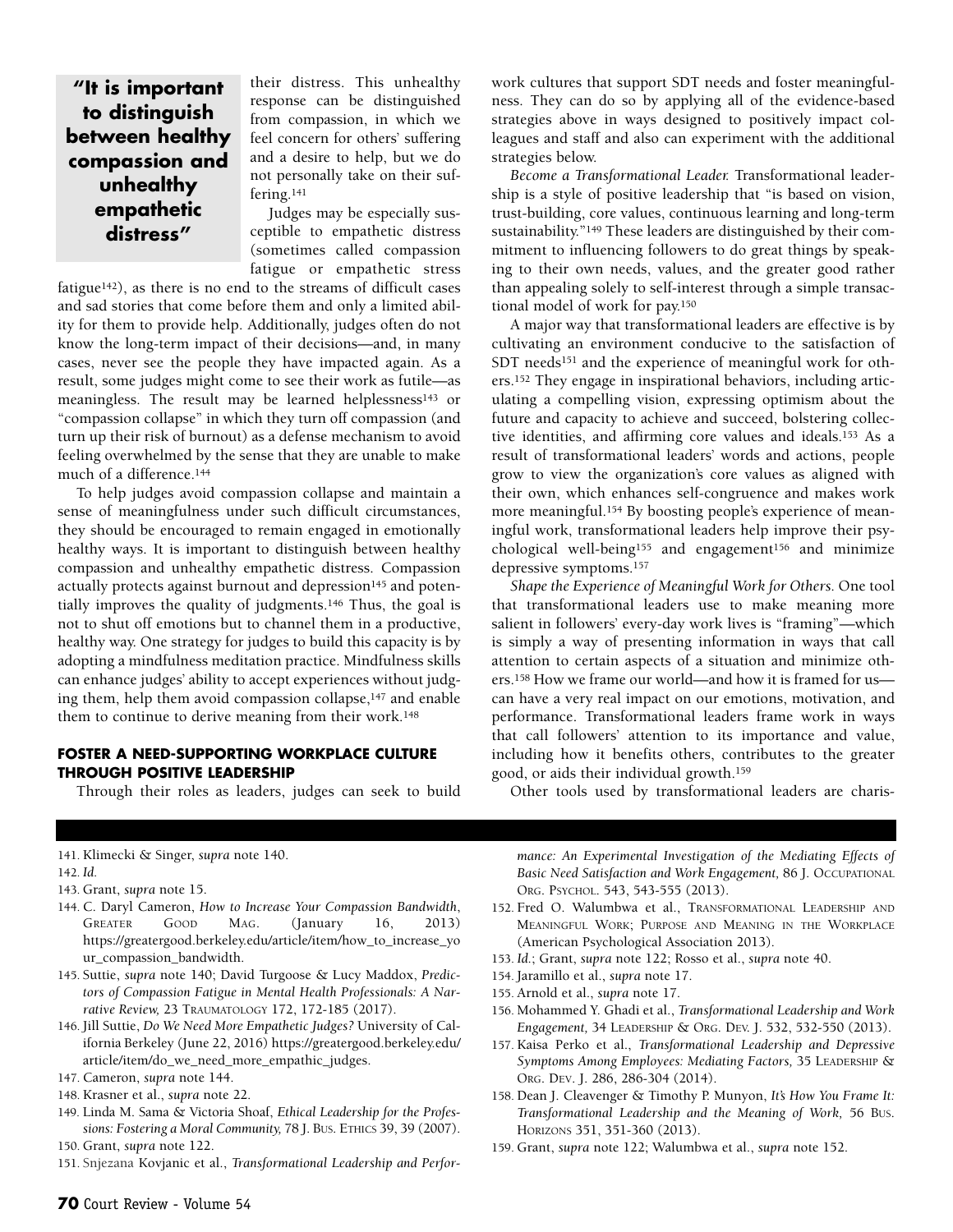## **"It is important to distinguish between healthy compassion and unhealthy empathetic distress"**

their distress. This unhealthy response can be distinguished from compassion, in which we feel concern for others' suffering and a desire to help, but we do not personally take on their suffering.141

Judges may be especially susceptible to empathetic distress (sometimes called compassion fatigue or empathetic stress

fatigue142), as there is no end to the streams of difficult cases and sad stories that come before them and only a limited ability for them to provide help. Additionally, judges often do not know the long-term impact of their decisions—and, in many cases, never see the people they have impacted again. As a result, some judges might come to see their work as futile—as meaningless. The result may be learned helplessness<sup>143</sup> or "compassion collapse" in which they turn off compassion (and turn up their risk of burnout) as a defense mechanism to avoid feeling overwhelmed by the sense that they are unable to make much of a difference.144

To help judges avoid compassion collapse and maintain a sense of meaningfulness under such difficult circumstances, they should be encouraged to remain engaged in emotionally healthy ways. It is important to distinguish between healthy compassion and unhealthy empathetic distress. Compassion actually protects against burnout and depression<sup>145</sup> and potentially improves the quality of judgments.146 Thus, the goal is not to shut off emotions but to channel them in a productive, healthy way. One strategy for judges to build this capacity is by adopting a mindfulness meditation practice. Mindfulness skills can enhance judges' ability to accept experiences without judging them, help them avoid compassion collapse,147 and enable them to continue to derive meaning from their work.148

#### **FOSTER A NEED-SUPPORTING WORKPLACE CULTURE THROUGH POSITIVE LEADERSHIP**

Through their roles as leaders, judges can seek to build

work cultures that support SDT needs and foster meaningfulness. They can do so by applying all of the evidence-based strategies above in ways designed to positively impact colleagues and staff and also can experiment with the additional strategies below.

*Become a Transformational Leader.* Transformational leadership is a style of positive leadership that "is based on vision, trust-building, core values, continuous learning and long-term sustainability."149 These leaders are distinguished by their commitment to influencing followers to do great things by speaking to their own needs, values, and the greater good rather than appealing solely to self-interest through a simple transactional model of work for pay.150

A major way that transformational leaders are effective is by cultivating an environment conducive to the satisfaction of SDT needs<sup>151</sup> and the experience of meaningful work for others.152 They engage in inspirational behaviors, including articulating a compelling vision, expressing optimism about the future and capacity to achieve and succeed, bolstering collective identities, and affirming core values and ideals.153 As a result of transformational leaders' words and actions, people grow to view the organization's core values as aligned with their own, which enhances self-congruence and makes work more meaningful.154 By boosting people's experience of meaningful work, transformational leaders help improve their psychological well-being155 and engagement156 and minimize depressive symptoms.157

*Shape the Experience of Meaningful Work for Others.* One tool that transformational leaders use to make meaning more salient in followers' every-day work lives is "framing"—which is simply a way of presenting information in ways that call attention to certain aspects of a situation and minimize others.158 How we frame our world—and how it is framed for us can have a very real impact on our emotions, motivation, and performance. Transformational leaders frame work in ways that call followers' attention to its importance and value, including how it benefits others, contributes to the greater good, or aids their individual growth.159

Other tools used by transformational leaders are charis-

#### 141. Klimecki & Singer, *supra* note 140.

142. *Id.*

- 143. Grant, *supra* note 15.
- 144. C. Daryl Cameron, *How to Increase Your Compassion Bandwidth*, GREATER GOOD MAG. (January 16, 2013) https://greatergood.berkeley.edu/article/item/how\_to\_increase\_yo ur\_compassion\_bandwidth.
- 145. Suttie, *supra* note 140; David Turgoose & Lucy Maddox, *Predictors of Compassion Fatigue in Mental Health Professionals: A Narrative Review,* 23 TRAUMATOLOGY 172, 172-185 (2017).
- 146. Jill Suttie, *Do We Need More Empathetic Judges?* University of California Berkeley (June 22, 2016) [https://greatergood.berkeley.edu/](https://greatergood.berkeley.edu/article/item/do_we_need_more_empathic_judges) [article/item/do\\_we\\_need\\_more\\_empathic\\_judges.](https://greatergood.berkeley.edu/article/item/do_we_need_more_empathic_judges)
- 147. Cameron, *supra* note 144.
- 148. Krasner et al., *supra* note 22.
- 149. Linda M. Sama & Victoria Shoaf, *Ethical Leadership for the Professions: Fostering a Moral Community,* 78 J. BUS. ETHICS 39, 39 (2007). 150. Grant, *supra* note 122.
- 151. Snjezana Kovjanic et al., *Transformational Leadership and Perfor-*

*mance: An Experimental Investigation of the Mediating Effects of Basic Need Satisfaction and Work Engagement,* 86 J. OCCUPATIONAL ORG. PSYCHOL. 543, 543-555 (2013).

- 152. Fred O. Walumbwa et al., TRANSFORMATIONAL LEADERSHIP AND MEANINGFUL WORK; PURPOSE AND MEANING IN THE WORKPLACE (American Psychological Association 2013).
- 153. *Id.*; Grant, *supra* note 122; Rosso et al., *supra* note 40.
- 154. Jaramillo et al., *supra* note 17.
- 155. Arnold et al., *supra* note 17.
- 156. Mohammed Y. Ghadi et al., *Transformational Leadership and Work Engagement,* 34 LEADERSHIP & ORG. DEV. J. 532, 532-550 (2013).
- 157. Kaisa Perko et al., *Transformational Leadership and Depressive Symptoms Among Employees: Mediating Factors,* 35 LEADERSHIP & ORG. DEV. J. 286, 286-304 (2014).
- 158. Dean J. Cleavenger & Timothy P. Munyon, *It's How You Frame It: Transformational Leadership and the Meaning of Work,* 56 BUS. HORIZONS 351, 351-360 (2013).
- 159. Grant, *supra* note 122; Walumbwa et al., *supra* note 152.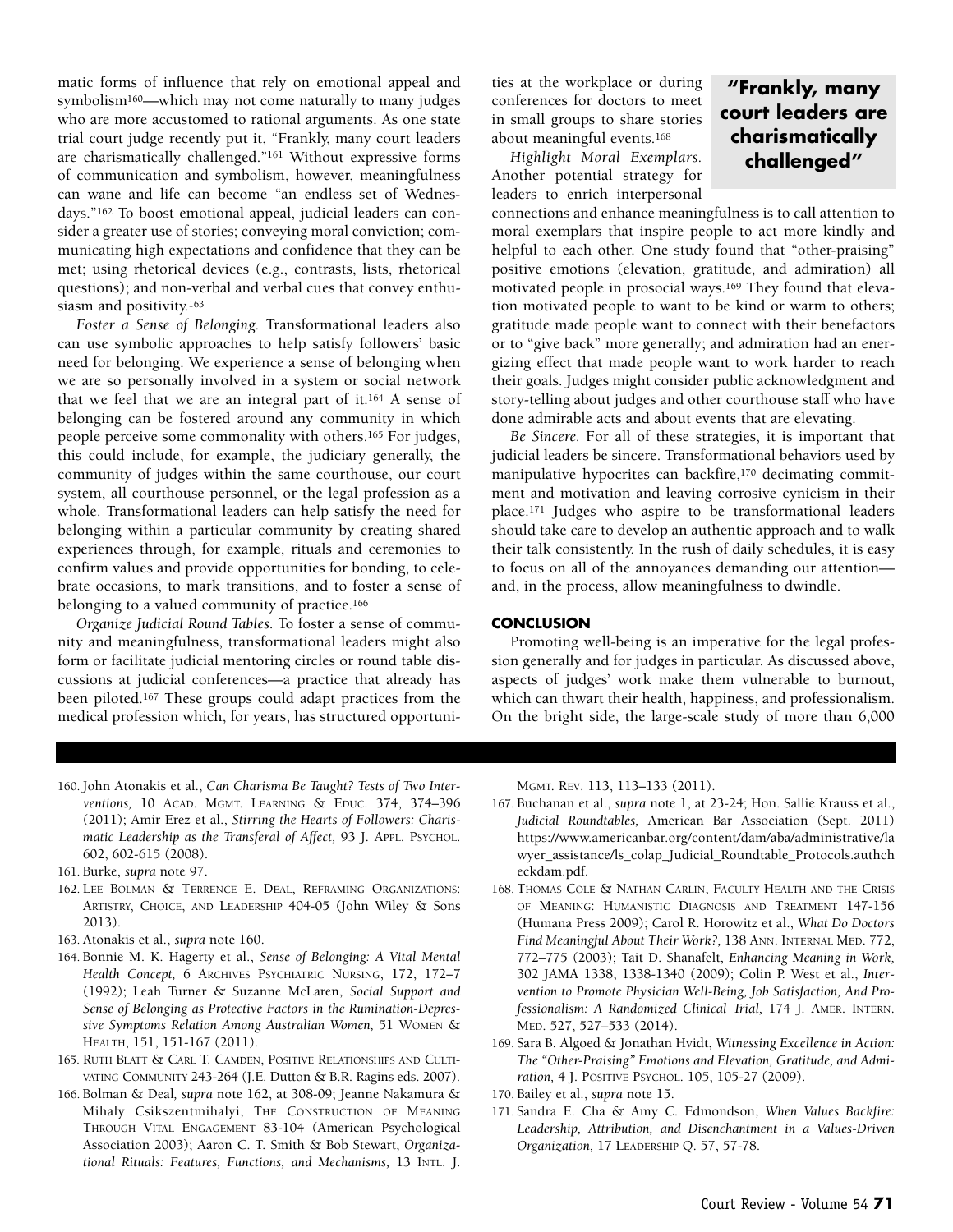matic forms of influence that rely on emotional appeal and symbolism160—which may not come naturally to many judges who are more accustomed to rational arguments. As one state trial court judge recently put it, "Frankly, many court leaders are charismatically challenged."161 Without expressive forms of communication and symbolism, however, meaningfulness can wane and life can become "an endless set of Wednesdays."162 To boost emotional appeal, judicial leaders can consider a greater use of stories; conveying moral conviction; communicating high expectations and confidence that they can be met; using rhetorical devices (e.g., contrasts, lists, rhetorical questions); and non-verbal and verbal cues that convey enthusiasm and positivity.163

*Foster a Sense of Belonging.* Transformational leaders also can use symbolic approaches to help satisfy followers' basic need for belonging. We experience a sense of belonging when we are so personally involved in a system or social network that we feel that we are an integral part of it.164 A sense of belonging can be fostered around any community in which people perceive some commonality with others.165 For judges, this could include, for example, the judiciary generally, the community of judges within the same courthouse, our court system, all courthouse personnel, or the legal profession as a whole. Transformational leaders can help satisfy the need for belonging within a particular community by creating shared experiences through, for example, rituals and ceremonies to confirm values and provide opportunities for bonding, to celebrate occasions, to mark transitions, and to foster a sense of belonging to a valued community of practice.166

*Organize Judicial Round Tables.* To foster a sense of community and meaningfulness, transformational leaders might also form or facilitate judicial mentoring circles or round table discussions at judicial conferences—a practice that already has been piloted.167 These groups could adapt practices from the medical profession which, for years, has structured opportunities at the workplace or during conferences for doctors to meet in small groups to share stories about meaningful events.168

*Highlight Moral Exemplars.* Another potential strategy for leaders to enrich interpersonal

## **"Frankly, many court leaders are charismatically challenged"**

connections and enhance meaningfulness is to call attention to moral exemplars that inspire people to act more kindly and helpful to each other. One study found that "other-praising" positive emotions (elevation, gratitude, and admiration) all motivated people in prosocial ways.169 They found that elevation motivated people to want to be kind or warm to others; gratitude made people want to connect with their benefactors or to "give back" more generally; and admiration had an energizing effect that made people want to work harder to reach their goals. Judges might consider public acknowledgment and story-telling about judges and other courthouse staff who have done admirable acts and about events that are elevating.

*Be Sincere.* For all of these strategies, it is important that judicial leaders be sincere. Transformational behaviors used by manipulative hypocrites can backfire,<sup>170</sup> decimating commitment and motivation and leaving corrosive cynicism in their place.171 Judges who aspire to be transformational leaders should take care to develop an authentic approach and to walk their talk consistently. In the rush of daily schedules, it is easy to focus on all of the annoyances demanding our attention and, in the process, allow meaningfulness to dwindle.

#### **CONCLUSION**

Promoting well-being is an imperative for the legal profession generally and for judges in particular. As discussed above, aspects of judges' work make them vulnerable to burnout, which can thwart their health, happiness, and professionalism. On the bright side, the large-scale study of more than 6,000

- 160. John Atonakis et al., *Can Charisma Be Taught? Tests of Two Interventions,* 10 ACAD. MGMT. LEARNING & EDUC. 374, 374–396 (2011); Amir Erez et al., *Stirring the Hearts of Followers: Charismatic Leadership as the Transferal of Affect,* 93 J. APPL. PSYCHOL. 602, 602-615 (2008).
- 161. Burke, *supra* note 97.
- 162. LEE BOLMAN & TERRENCE E. DEAL, REFRAMING ORGANIZATIONS: ARTISTRY, CHOICE, AND LEADERSHIP 404-05 (John Wiley & Sons 2013).
- 163. Atonakis et al., *supra* note 160.
- 164. Bonnie M. K. Hagerty et al., *Sense of Belonging: A Vital Mental Health Concept,* 6 ARCHIVES PSYCHIATRIC NURSING, 172, 172–7 (1992); Leah Turner & Suzanne McLaren, *Social Support and Sense of Belonging as Protective Factors in the Rumination-Depressive Symptoms Relation Among Australian Women,* 51 WOMEN & HEALTH, 151, 151-167 (2011).
- 165. RUTH BLATT & CARL T. CAMDEN, POSITIVE RELATIONSHIPS AND CULTI-VATING COMMUNITY 243-264 (J.E. Dutton & B.R. Ragins eds. 2007).
- 166. Bolman & Deal*, supra* note 162, at 308-09; Jeanne Nakamura & Mihaly Csikszentmihalyi, THE CONSTRUCTION OF MEANING THROUGH VITAL ENGAGEMENT 83-104 (American Psychological Association 2003); Aaron C. T. Smith & Bob Stewart, *Organizational Rituals: Features, Functions, and Mechanisms,* 13 INTL. J.

MGMT. REV. 113, 113–133 (2011).

- 167. Buchanan et al., *supra* note 1, at 23-24; Hon. Sallie Krauss et al., *Judicial Roundtables,* American Bar Association (Sept. 2011) https://www.americanbar.org/content/dam/aba/administrative/la wyer\_assistance/ls\_colap\_Judicial\_Roundtable\_Protocols.authch eckdam.pdf.
- 168. THOMAS COLE & NATHAN CARLIN, FACULTY HEALTH AND THE CRISIS OF MEANING: HUMANISTIC DIAGNOSIS AND TREATMENT 147-156 (Humana Press 2009); Carol R. Horowitz et al., *What Do Doctors Find Meaningful About Their Work?,* 138 ANN. INTERNAL MED. 772, 772–775 (2003); Tait D. Shanafelt, *Enhancing Meaning in Work,* 302 JAMA 1338, 1338-1340 (2009); Colin P. West et al., *Intervention to Promote Physician Well-Being, Job Satisfaction, And Professionalism: A Randomized Clinical Trial,* 174 J. AMER. INTERN. MED. 527, 527–533 (2014).
- 169. Sara B. Algoed & Jonathan Hvidt, *Witnessing Excellence in Action: The "Other-Praising" Emotions and Elevation, Gratitude, and Admiration,* 4 J. POSITIVE PSYCHOL. 105, 105-27 (2009).
- 170. Bailey et al., *supra* note 15.
- 171. Sandra E. Cha & Amy C. Edmondson, *When Values Backfire: Leadership, Attribution, and Disenchantment in a Values-Driven Organization,* 17 LEADERSHIP Q. 57, 57-78.